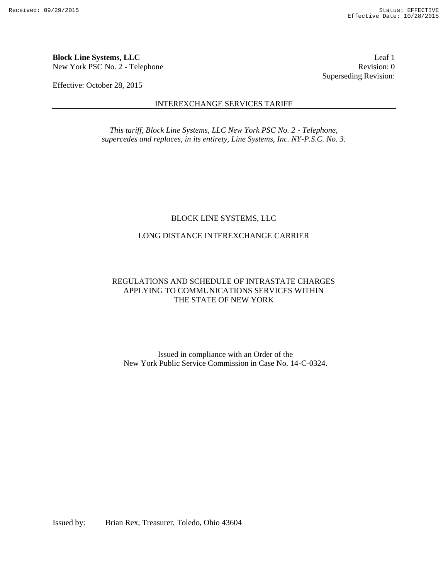**Block Line Systems, LLC** Leaf 1 New York PSC No. 2 - Telephone Revision: 0

Effective: October 28, 2015

#### INTEREXCHANGE SERVICES TARIFF

*This tariff, Block Line Systems, LLC New York PSC No. 2 - Telephone, supercedes and replaces, in its entirety, Line Systems, Inc. NY-P.S.C. No. 3.*

### BLOCK LINE SYSTEMS, LLC

### LONG DISTANCE INTEREXCHANGE CARRIER

## REGULATIONS AND SCHEDULE OF INTRASTATE CHARGES APPLYING TO COMMUNICATIONS SERVICES WITHIN THE STATE OF NEW YORK

Issued in compliance with an Order of the New York Public Service Commission in Case No. 14-C-0324.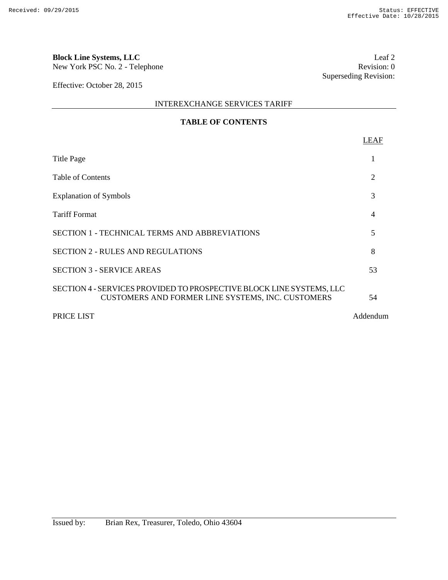# **Block Line Systems, LLC** Leaf 2<br>New York PSC No. 2 - Telephone Revision: 0

New York PSC No. 2 - Telephone

Effective: October 28, 2015

INTEREXCHANGE SERVICES TARIFF

## **TABLE OF CONTENTS**

|                                                                                                                           | <b>LEAF</b> |
|---------------------------------------------------------------------------------------------------------------------------|-------------|
| Title Page                                                                                                                |             |
| Table of Contents                                                                                                         | 2           |
| <b>Explanation of Symbols</b>                                                                                             | 3           |
| Tariff Format                                                                                                             | 4           |
| SECTION 1 - TECHNICAL TERMS AND ABBREVIATIONS                                                                             | 5           |
| SECTION 2 - RULES AND REGULATIONS                                                                                         | 8           |
| <b>SECTION 3 - SERVICE AREAS</b>                                                                                          | 53          |
| SECTION 4 - SERVICES PROVIDED TO PROSPECTIVE BLOCK LINE SYSTEMS, LLC<br>CUSTOMERS AND FORMER LINE SYSTEMS, INC. CUSTOMERS | 54          |

PRICE LIST Addendum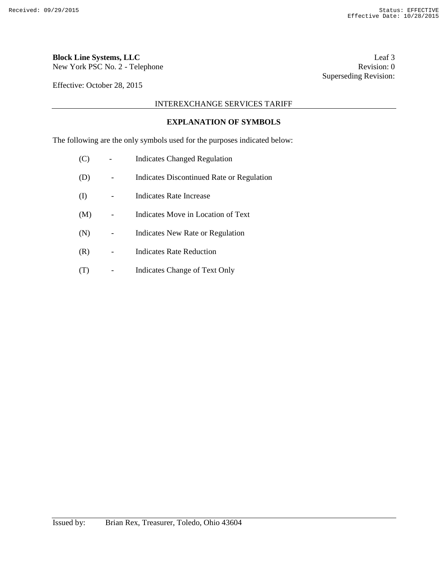New York PSC No. 2 - Telephone

Effective: October 28, 2015

INTEREXCHANGE SERVICES TARIFF

#### **EXPLANATION OF SYMBOLS**

The following are the only symbols used for the purposes indicated below:

| (C)          | <b>Indicates Changed Regulation</b>       |
|--------------|-------------------------------------------|
| (D)          | Indicates Discontinued Rate or Regulation |
| $\rm _{(I)}$ | Indicates Rate Increase                   |
| (M)          | Indicates Move in Location of Text        |
| (N)          | Indicates New Rate or Regulation          |
| (R)          | Indicates Rate Reduction                  |
| ( 1 )        | <b>Indicates Change of Text Only</b>      |

**Block Line Systems, LLC** Leaf 3<br>New York PSC No. 2 - Telephone Revision: 0 Superseding Revision: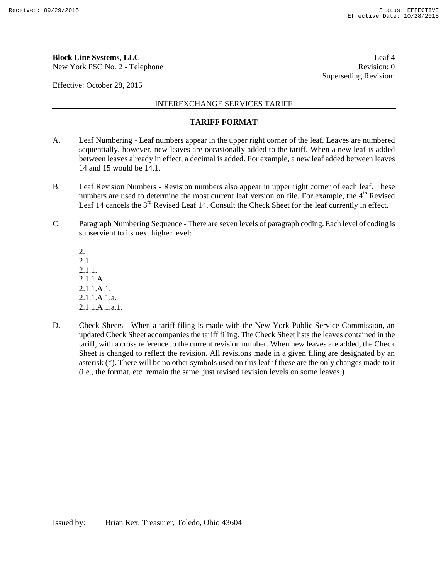New York PSC No. 2 - Telephone Revision: 0

Effective: October 28, 2015

INTEREXCHANGE SERVICES TARIFF

#### **TARIFF FORMAT**

- A. Leaf Numbering Leaf numbers appear in the upper right corner of the leaf. Leaves are numbered sequentially, however, new leaves are occasionally added to the tariff. When a new leaf is added between leaves already in effect, a decimal is added. For example, a new leaf added between leaves 14 and 15 would be 14.1.
- B. Leaf Revision Numbers Revision numbers also appear in upper right corner of each leaf. These numbers are used to determine the most current leaf version on file. For example, the  $4<sup>th</sup>$  Revised Leaf 14 cancels the  $3<sup>rd</sup>$  Revised Leaf 14. Consult the Check Sheet for the leaf currently in effect.
- C. Paragraph Numbering Sequence There are seven levels of paragraph coding. Each level of coding is subservient to its next higher level:

2. 2.1. 2.1.1. 2.1.1.A. 2.1.1.A.1. 2.1.1.A.1.a. 2.1.1.A.1.a.1.

D. Check Sheets - When a tariff filing is made with the New York Public Service Commission, an updated Check Sheet accompanies the tariff filing. The Check Sheet lists the leaves contained in the tariff, with a cross reference to the current revision number. When new leaves are added, the Check Sheet is changed to reflect the revision. All revisions made in a given filing are designated by an asterisk (\*). There will be no other symbols used on this leaf if these are the only changes made to it (i.e., the format, etc. remain the same, just revised revision levels on some leaves.)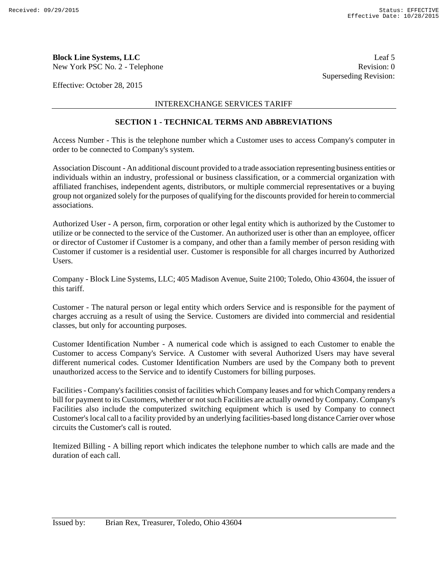New York PSC No. 2 - Telephone Revision: 0

Effective: October 28, 2015

#### INTEREXCHANGE SERVICES TARIFF

#### **SECTION 1 - TECHNICAL TERMS AND ABBREVIATIONS**

Access Number - This is the telephone number which a Customer uses to access Company's computer in order to be connected to Company's system.

Association Discount - An additional discount provided to a trade association representing business entities or individuals within an industry, professional or business classification, or a commercial organization with affiliated franchises, independent agents, distributors, or multiple commercial representatives or a buying group not organized solely for the purposes of qualifying for the discounts provided for herein to commercial associations.

Authorized User - A person, firm, corporation or other legal entity which is authorized by the Customer to utilize or be connected to the service of the Customer. An authorized user is other than an employee, officer or director of Customer if Customer is a company, and other than a family member of person residing with Customer if customer is a residential user. Customer is responsible for all charges incurred by Authorized Users.

Company - Block Line Systems, LLC; 405 Madison Avenue, Suite 2100; Toledo, Ohio 43604, the issuer of this tariff.

Customer - The natural person or legal entity which orders Service and is responsible for the payment of charges accruing as a result of using the Service. Customers are divided into commercial and residential classes, but only for accounting purposes.

Customer Identification Number - A numerical code which is assigned to each Customer to enable the Customer to access Company's Service. A Customer with several Authorized Users may have several different numerical codes. Customer Identification Numbers are used by the Company both to prevent unauthorized access to the Service and to identify Customers for billing purposes.

Facilities - Company's facilities consist of facilities which Company leases and for which Company renders a bill for payment to its Customers, whether or not such Facilities are actually owned by Company. Company's Facilities also include the computerized switching equipment which is used by Company to connect Customer's local call to a facility provided by an underlying facilities-based long distance Carrier over whose circuits the Customer's call is routed.

Itemized Billing - A billing report which indicates the telephone number to which calls are made and the duration of each call.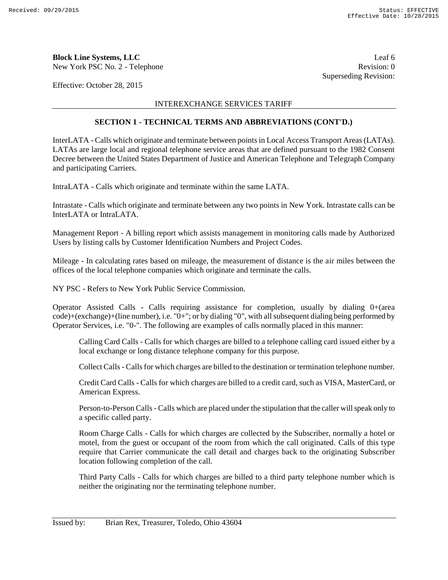New York PSC No. 2 - Telephone

Effective: October 28, 2015

#### INTEREXCHANGE SERVICES TARIFF

#### **SECTION 1 - TECHNICAL TERMS AND ABBREVIATIONS (CONT'D.)**

InterLATA - Calls which originate and terminate between points in Local Access Transport Areas (LATAs). LATAs are large local and regional telephone service areas that are defined pursuant to the 1982 Consent Decree between the United States Department of Justice and American Telephone and Telegraph Company and participating Carriers.

IntraLATA - Calls which originate and terminate within the same LATA.

Intrastate - Calls which originate and terminate between any two points in New York. Intrastate calls can be InterLATA or IntraLATA.

Management Report - A billing report which assists management in monitoring calls made by Authorized Users by listing calls by Customer Identification Numbers and Project Codes.

Mileage - In calculating rates based on mileage, the measurement of distance is the air miles between the offices of the local telephone companies which originate and terminate the calls.

NY PSC - Refers to New York Public Service Commission.

Operator Assisted Calls - Calls requiring assistance for completion, usually by dialing  $0+$ (area code)+(exchange)+(line number), i.e. "0+"; or by dialing "0", with all subsequent dialing being performed by Operator Services, i.e. "0-". The following are examples of calls normally placed in this manner:

Calling Card Calls - Calls for which charges are billed to a telephone calling card issued either by a local exchange or long distance telephone company for this purpose.

Collect Calls - Calls for which charges are billed to the destination or termination telephone number.

Credit Card Calls - Calls for which charges are billed to a credit card, such as VISA, MasterCard, or American Express.

Person-to-Person Calls - Calls which are placed under the stipulation that the caller will speak only to a specific called party.

Room Charge Calls - Calls for which charges are collected by the Subscriber, normally a hotel or motel, from the guest or occupant of the room from which the call originated. Calls of this type require that Carrier communicate the call detail and charges back to the originating Subscriber location following completion of the call.

Third Party Calls - Calls for which charges are billed to a third party telephone number which is neither the originating nor the terminating telephone number.

**Block Line Systems, LLC**<br>
New York PSC No. 2 - Telephone<br>
Revision: 0 Superseding Revision: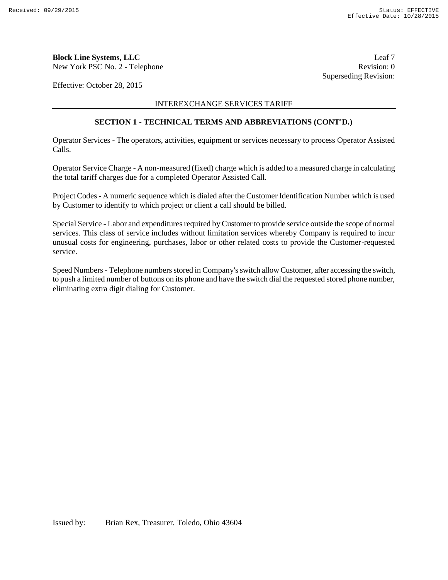New York PSC No. 2 - Telephone Revision: 0

Effective: October 28, 2015

INTEREXCHANGE SERVICES TARIFF

#### **SECTION 1 - TECHNICAL TERMS AND ABBREVIATIONS (CONT'D.)**

Operator Services - The operators, activities, equipment or services necessary to process Operator Assisted Calls.

Operator Service Charge - A non-measured (fixed) charge which is added to a measured charge in calculating the total tariff charges due for a completed Operator Assisted Call.

Project Codes - A numeric sequence which is dialed after the Customer Identification Number which is used by Customer to identify to which project or client a call should be billed.

Special Service - Labor and expenditures required by Customer to provide service outside the scope of normal services. This class of service includes without limitation services whereby Company is required to incur unusual costs for engineering, purchases, labor or other related costs to provide the Customer-requested service.

Speed Numbers - Telephone numbers stored in Company's switch allow Customer, after accessing the switch, to push a limited number of buttons on its phone and have the switch dial the requested stored phone number, eliminating extra digit dialing for Customer.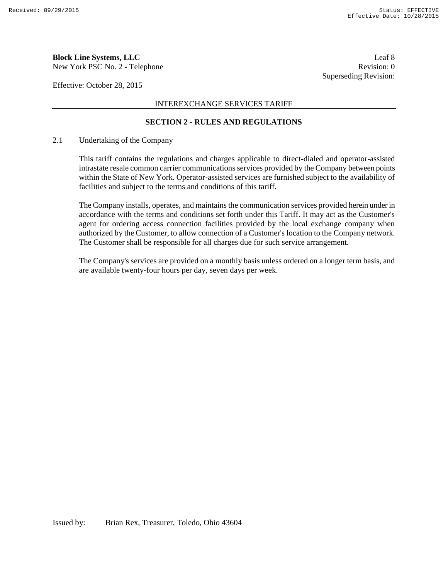New York PSC No. 2 - Telephone Revision: 0

Effective: October 28, 2015

#### INTEREXCHANGE SERVICES TARIFF

#### **SECTION 2 - RULES AND REGULATIONS**

#### 2.1 Undertaking of the Company

This tariff contains the regulations and charges applicable to direct-dialed and operator-assisted intrastate resale common carrier communications services provided by the Company between points within the State of New York. Operator-assisted services are furnished subject to the availability of facilities and subject to the terms and conditions of this tariff.

The Company installs, operates, and maintains the communication services provided herein under in accordance with the terms and conditions set forth under this Tariff. It may act as the Customer's agent for ordering access connection facilities provided by the local exchange company when authorized by the Customer, to allow connection of a Customer's location to the Company network. The Customer shall be responsible for all charges due for such service arrangement.

The Company's services are provided on a monthly basis unless ordered on a longer term basis, and are available twenty-four hours per day, seven days per week.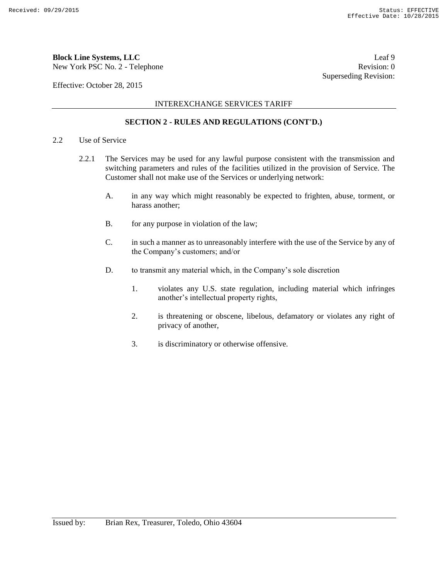New York PSC No. 2 - Telephone Revision: 0

Effective: October 28, 2015

#### INTEREXCHANGE SERVICES TARIFF

#### **SECTION 2 - RULES AND REGULATIONS (CONT'D.)**

#### 2.2 Use of Service

- 2.2.1 The Services may be used for any lawful purpose consistent with the transmission and switching parameters and rules of the facilities utilized in the provision of Service. The Customer shall not make use of the Services or underlying network:
	- A. in any way which might reasonably be expected to frighten, abuse, torment, or harass another;
	- B. for any purpose in violation of the law;
	- C. in such a manner as to unreasonably interfere with the use of the Service by any of the Company's customers; and/or
	- D. to transmit any material which, in the Company's sole discretion
		- 1. violates any U.S. state regulation, including material which infringes another's intellectual property rights,
		- 2. is threatening or obscene, libelous, defamatory or violates any right of privacy of another,
		- 3. is discriminatory or otherwise offensive.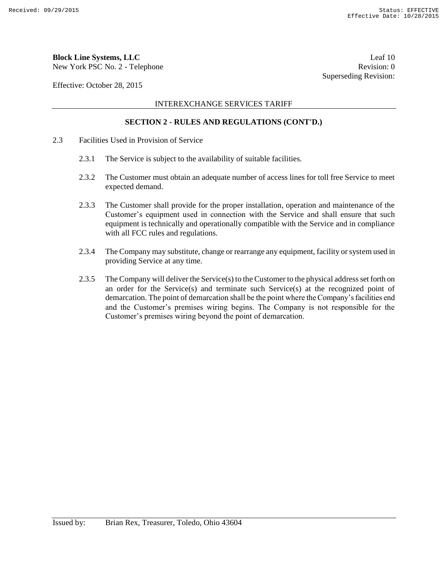New York PSC No. 2 - Telephone Revision: 0

Effective: October 28, 2015

#### INTEREXCHANGE SERVICES TARIFF

#### **SECTION 2 - RULES AND REGULATIONS (CONT'D.)**

- 2.3 Facilities Used in Provision of Service
	- 2.3.1 The Service is subject to the availability of suitable facilities.
	- 2.3.2 The Customer must obtain an adequate number of access lines for toll free Service to meet expected demand.
	- 2.3.3 The Customer shall provide for the proper installation, operation and maintenance of the Customer's equipment used in connection with the Service and shall ensure that such equipment is technically and operationally compatible with the Service and in compliance with all FCC rules and regulations.
	- 2.3.4 The Company may substitute, change or rearrange any equipment, facility or system used in providing Service at any time.
	- 2.3.5 The Company will deliver the Service(s) to the Customer to the physical address set forth on an order for the Service(s) and terminate such Service(s) at the recognized point of demarcation. The point of demarcation shall be the point where the Company's facilities end and the Customer's premises wiring begins. The Company is not responsible for the Customer's premises wiring beyond the point of demarcation.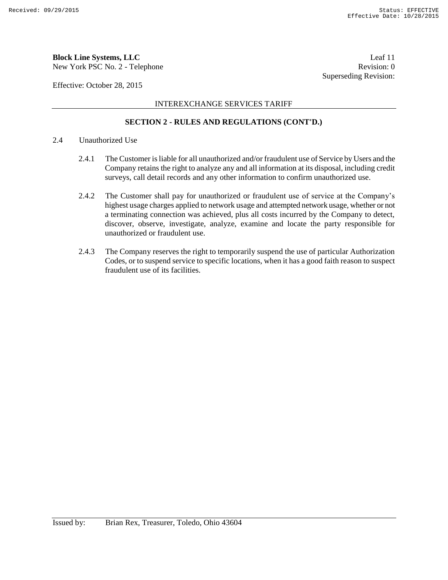New York PSC No. 2 - Telephone Revision: 0

Effective: October 28, 2015

#### INTEREXCHANGE SERVICES TARIFF

### **SECTION 2 - RULES AND REGULATIONS (CONT'D.)**

#### 2.4 Unauthorized Use

- 2.4.1 The Customer is liable for all unauthorized and/or fraudulent use of Service by Users and the Company retains the right to analyze any and all information at its disposal, including credit surveys, call detail records and any other information to confirm unauthorized use.
- 2.4.2 The Customer shall pay for unauthorized or fraudulent use of service at the Company's highest usage charges applied to network usage and attempted network usage, whether or not a terminating connection was achieved, plus all costs incurred by the Company to detect, discover, observe, investigate, analyze, examine and locate the party responsible for unauthorized or fraudulent use.
- 2.4.3 The Company reserves the right to temporarily suspend the use of particular Authorization Codes, or to suspend service to specific locations, when it has a good faith reason to suspect fraudulent use of its facilities.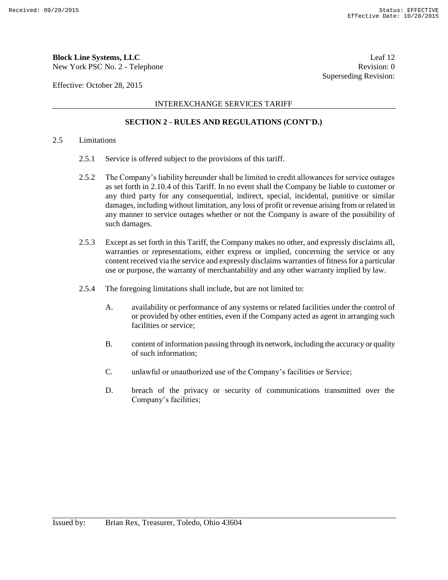New York PSC No. 2 - Telephone Revision: 0

Effective: October 28, 2015

#### INTEREXCHANGE SERVICES TARIFF

#### **SECTION 2 - RULES AND REGULATIONS (CONT'D.)**

#### 2.5 Limitations

- 2.5.1 Service is offered subject to the provisions of this tariff.
- 2.5.2 The Company's liability hereunder shall be limited to credit allowances for service outages as set forth in 2.10.4 of this Tariff. In no event shall the Company be liable to customer or any third party for any consequential, indirect, special, incidental, punitive or similar damages, including without limitation, any loss of profit or revenue arising from or related in any manner to service outages whether or not the Company is aware of the possibility of such damages.
- 2.5.3 Except as set forth in this Tariff, the Company makes no other, and expressly disclaims all, warranties or representations, either express or implied, concerning the service or any content received via the service and expressly disclaims warranties of fitness for a particular use or purpose, the warranty of merchantability and any other warranty implied by law.
- 2.5.4 The foregoing limitations shall include, but are not limited to:
	- A. availability or performance of any systems or related facilities under the control of or provided by other entities, even if the Company acted as agent in arranging such facilities or service;
	- B. content of information passing through its network, including the accuracy or quality of such information;
	- C. unlawful or unauthorized use of the Company's facilities or Service;
	- D. breach of the privacy or security of communications transmitted over the Company's facilities;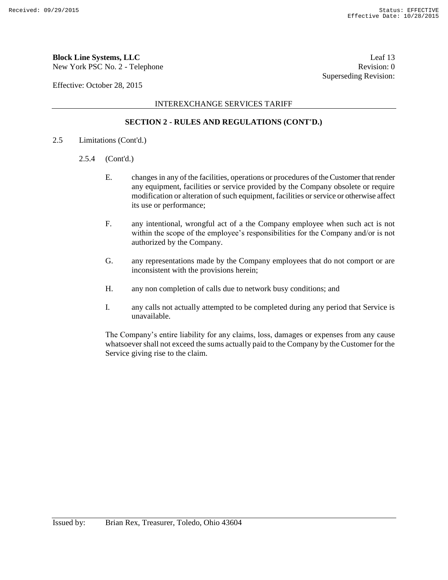## **Block Line Systems, LLC** Leaf 13

New York PSC No. 2 - Telephone Revision: 0

Effective: October 28, 2015

INTEREXCHANGE SERVICES TARIFF

#### **SECTION 2 - RULES AND REGULATIONS (CONT'D.)**

- 2.5 Limitations (Cont'd.)
	- 2.5.4 (Cont'd.)
		- E. changes in any of the facilities, operations or procedures of the Customer that render any equipment, facilities or service provided by the Company obsolete or require modification or alteration of such equipment, facilities or service or otherwise affect its use or performance;
		- F. any intentional, wrongful act of a the Company employee when such act is not within the scope of the employee's responsibilities for the Company and/or is not authorized by the Company.
		- G. any representations made by the Company employees that do not comport or are inconsistent with the provisions herein;
		- H. any non completion of calls due to network busy conditions; and
		- I. any calls not actually attempted to be completed during any period that Service is unavailable.

The Company's entire liability for any claims, loss, damages or expenses from any cause whatsoever shall not exceed the sums actually paid to the Company by the Customer for the Service giving rise to the claim.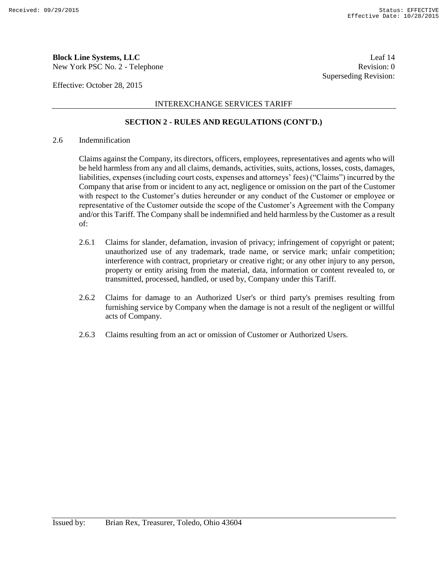New York PSC No. 2 - Telephone Revision: 0

Effective: October 28, 2015

#### INTEREXCHANGE SERVICES TARIFF

#### **SECTION 2 - RULES AND REGULATIONS (CONT'D.)**

#### 2.6 Indemnification

Claims against the Company, its directors, officers, employees, representatives and agents who will be held harmless from any and all claims, demands, activities, suits, actions, losses, costs, damages, liabilities, expenses (including court costs, expenses and attorneys' fees) ("Claims") incurred by the Company that arise from or incident to any act, negligence or omission on the part of the Customer with respect to the Customer's duties hereunder or any conduct of the Customer or employee or representative of the Customer outside the scope of the Customer's Agreement with the Company and/or this Tariff. The Company shall be indemnified and held harmless by the Customer as a result of:

- 2.6.1 Claims for slander, defamation, invasion of privacy; infringement of copyright or patent; unauthorized use of any trademark, trade name, or service mark; unfair competition; interference with contract, proprietary or creative right; or any other injury to any person, property or entity arising from the material, data, information or content revealed to, or transmitted, processed, handled, or used by, Company under this Tariff.
- 2.6.2 Claims for damage to an Authorized User's or third party's premises resulting from furnishing service by Company when the damage is not a result of the negligent or willful acts of Company.
- 2.6.3 Claims resulting from an act or omission of Customer or Authorized Users.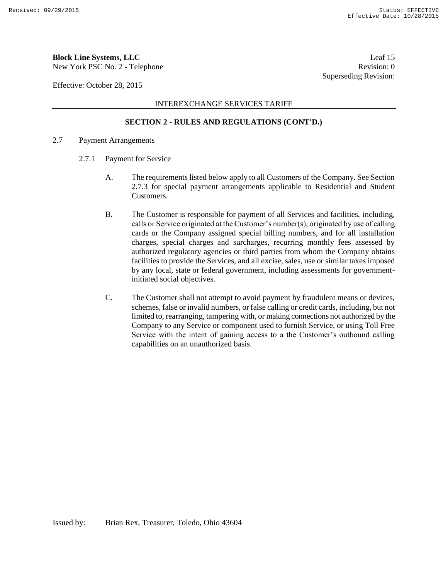New York PSC No. 2 - Telephone Revision: 0

Effective: October 28, 2015

#### INTEREXCHANGE SERVICES TARIFF

#### **SECTION 2 - RULES AND REGULATIONS (CONT'D.)**

- 2.7 Payment Arrangements
	- 2.7.1 Payment for Service
		- A. The requirements listed below apply to all Customers of the Company. See Section 2.7.3 for special payment arrangements applicable to Residential and Student Customers.
		- B. The Customer is responsible for payment of all Services and facilities, including, calls or Service originated at the Customer's number(s), originated by use of calling cards or the Company assigned special billing numbers, and for all installation charges, special charges and surcharges, recurring monthly fees assessed by authorized regulatory agencies or third parties from whom the Company obtains facilities to provide the Services, and all excise, sales, use or similar taxes imposed by any local, state or federal government, including assessments for governmentinitiated social objectives.
		- C. The Customer shall not attempt to avoid payment by fraudulent means or devices, schemes, false or invalid numbers, or false calling or credit cards, including, but not limited to, rearranging, tampering with, or making connections not authorized by the Company to any Service or component used to furnish Service, or using Toll Free Service with the intent of gaining access to a the Customer's outbound calling capabilities on an unauthorized basis.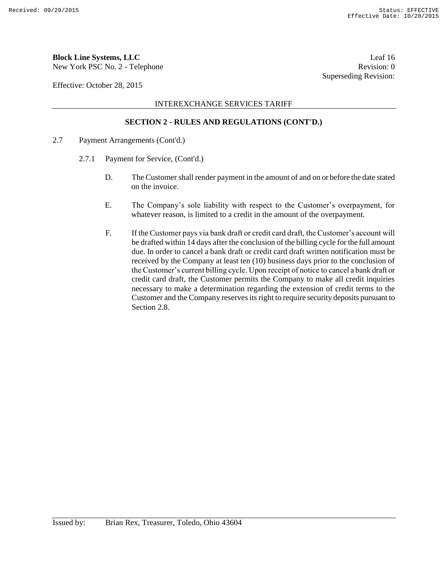## **Block Line Systems, LLC** Leaf 16

New York PSC No. 2 - Telephone Revision: 0

Effective: October 28, 2015

INTEREXCHANGE SERVICES TARIFF

#### **SECTION 2 - RULES AND REGULATIONS (CONT'D.)**

- 2.7 Payment Arrangements (Cont'd.)
	- 2.7.1 Payment for Service, (Cont'd.)
		- D. The Customer shall render payment in the amount of and on or before the date stated on the invoice.
		- E. The Company's sole liability with respect to the Customer's overpayment, for whatever reason, is limited to a credit in the amount of the overpayment.
		- F. If the Customer pays via bank draft or credit card draft, the Customer's account will be drafted within 14 days after the conclusion of the billing cycle for the full amount due. In order to cancel a bank draft or credit card draft written notification must be received by the Company at least ten (10) business days prior to the conclusion of the Customer's current billing cycle. Upon receipt of notice to cancel a bank draft or credit card draft, the Customer permits the Company to make all credit inquiries necessary to make a determination regarding the extension of credit terms to the Customer and the Company reserves its right to require security deposits pursuant to Section 2.8.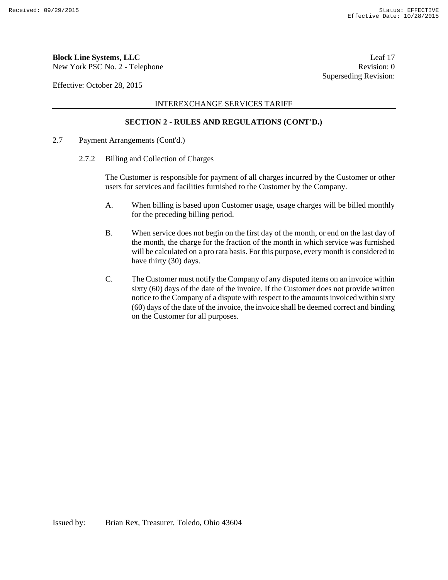New York PSC No. 2 - Telephone Revision: 0

Effective: October 28, 2015

INTEREXCHANGE SERVICES TARIFF

#### **SECTION 2 - RULES AND REGULATIONS (CONT'D.)**

- 2.7 Payment Arrangements (Cont'd.)
	- 2.7.2 Billing and Collection of Charges

The Customer is responsible for payment of all charges incurred by the Customer or other users for services and facilities furnished to the Customer by the Company.

- A. When billing is based upon Customer usage, usage charges will be billed monthly for the preceding billing period.
- B. When service does not begin on the first day of the month, or end on the last day of the month, the charge for the fraction of the month in which service was furnished will be calculated on a pro rata basis. For this purpose, every month is considered to have thirty (30) days.
- C. The Customer must notify the Company of any disputed items on an invoice within sixty (60) days of the date of the invoice. If the Customer does not provide written notice to the Company of a dispute with respect to the amounts invoiced within sixty (60) days of the date of the invoice, the invoice shall be deemed correct and binding on the Customer for all purposes.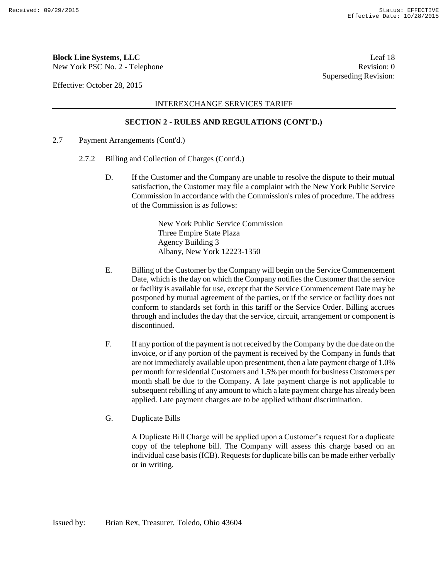New York PSC No. 2 - Telephone Revision: 0

Effective: October 28, 2015

#### INTEREXCHANGE SERVICES TARIFF

#### **SECTION 2 - RULES AND REGULATIONS (CONT'D.)**

- 2.7 Payment Arrangements (Cont'd.)
	- 2.7.2 Billing and Collection of Charges (Cont'd.)
		- D. If the Customer and the Company are unable to resolve the dispute to their mutual satisfaction, the Customer may file a complaint with the New York Public Service Commission in accordance with the Commission's rules of procedure. The address of the Commission is as follows:

New York Public Service Commission Three Empire State Plaza Agency Building 3 Albany, New York 12223-1350

- E. Billing of the Customer by the Company will begin on the Service Commencement Date, which is the day on which the Company notifies the Customer that the service or facility is available for use, except that the Service Commencement Date may be postponed by mutual agreement of the parties, or if the service or facility does not conform to standards set forth in this tariff or the Service Order. Billing accrues through and includes the day that the service, circuit, arrangement or component is discontinued.
- F. If any portion of the payment is not received by the Company by the due date on the invoice, or if any portion of the payment is received by the Company in funds that are not immediately available upon presentment, then a late payment charge of 1.0% per month for residential Customers and 1.5% per month for business Customers per month shall be due to the Company. A late payment charge is not applicable to subsequent rebilling of any amount to which a late payment charge has already been applied. Late payment charges are to be applied without discrimination.
- G. Duplicate Bills

A Duplicate Bill Charge will be applied upon a Customer's request for a duplicate copy of the telephone bill. The Company will assess this charge based on an individual case basis (ICB). Requests for duplicate bills can be made either verbally or in writing.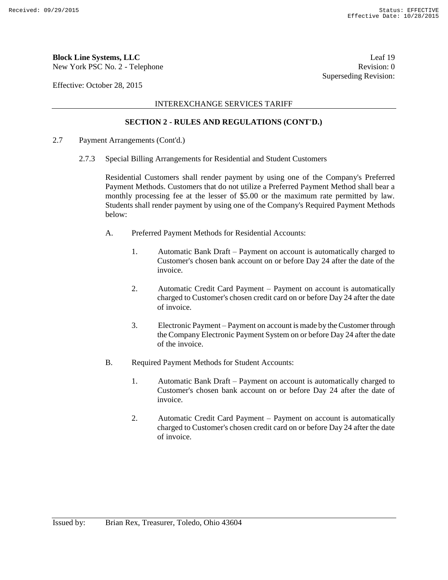New York PSC No. 2 - Telephone Revision: 0

Effective: October 28, 2015

#### INTEREXCHANGE SERVICES TARIFF

#### **SECTION 2 - RULES AND REGULATIONS (CONT'D.)**

- 2.7 Payment Arrangements (Cont'd.)
	- 2.7.3 Special Billing Arrangements for Residential and Student Customers

Residential Customers shall render payment by using one of the Company's Preferred Payment Methods. Customers that do not utilize a Preferred Payment Method shall bear a monthly processing fee at the lesser of \$5.00 or the maximum rate permitted by law. Students shall render payment by using one of the Company's Required Payment Methods below:

- A. Preferred Payment Methods for Residential Accounts:
	- 1. Automatic Bank Draft Payment on account is automatically charged to Customer's chosen bank account on or before Day 24 after the date of the invoice.
	- 2. Automatic Credit Card Payment Payment on account is automatically charged to Customer's chosen credit card on or before Day 24 after the date of invoice.
	- 3. Electronic Payment Payment on account is made by the Customer through the Company Electronic Payment System on or before Day 24 after the date of the invoice.
- B. Required Payment Methods for Student Accounts:
	- 1. Automatic Bank Draft Payment on account is automatically charged to Customer's chosen bank account on or before Day 24 after the date of invoice.
	- 2. Automatic Credit Card Payment Payment on account is automatically charged to Customer's chosen credit card on or before Day 24 after the date of invoice.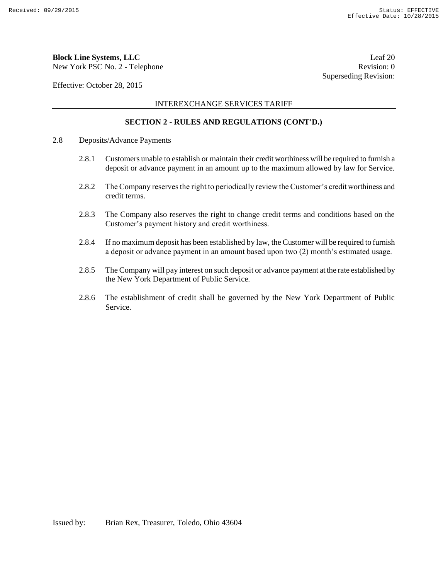New York PSC No. 2 - Telephone Revision: 0

Effective: October 28, 2015

#### INTEREXCHANGE SERVICES TARIFF

#### **SECTION 2 - RULES AND REGULATIONS (CONT'D.)**

- 2.8 Deposits/Advance Payments
	- 2.8.1 Customers unable to establish or maintain their credit worthiness will be required to furnish a deposit or advance payment in an amount up to the maximum allowed by law for Service.
	- 2.8.2 The Company reserves the right to periodically review the Customer's credit worthiness and credit terms.
	- 2.8.3 The Company also reserves the right to change credit terms and conditions based on the Customer's payment history and credit worthiness.
	- 2.8.4 If no maximum deposit has been established by law, the Customer will be required to furnish a deposit or advance payment in an amount based upon two (2) month's estimated usage.
	- 2.8.5 The Company will pay interest on such deposit or advance payment at the rate established by the New York Department of Public Service.
	- 2.8.6 The establishment of credit shall be governed by the New York Department of Public Service.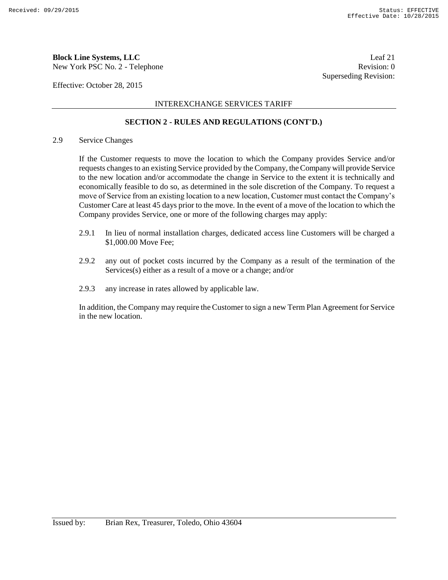New York PSC No. 2 - Telephone Revision: 0

Effective: October 28, 2015

INTEREXCHANGE SERVICES TARIFF

#### **SECTION 2 - RULES AND REGULATIONS (CONT'D.)**

#### 2.9 Service Changes

If the Customer requests to move the location to which the Company provides Service and/or requests changes to an existing Service provided by the Company, the Company will provide Service to the new location and/or accommodate the change in Service to the extent it is technically and economically feasible to do so, as determined in the sole discretion of the Company. To request a move of Service from an existing location to a new location, Customer must contact the Company's Customer Care at least 45 days prior to the move. In the event of a move of the location to which the Company provides Service, one or more of the following charges may apply:

- 2.9.1 In lieu of normal installation charges, dedicated access line Customers will be charged a \$1,000.00 Move Fee;
- 2.9.2 any out of pocket costs incurred by the Company as a result of the termination of the Services(s) either as a result of a move or a change; and/or
- 2.9.3 any increase in rates allowed by applicable law.

In addition, the Company may require the Customer to sign a new Term Plan Agreement for Service in the new location.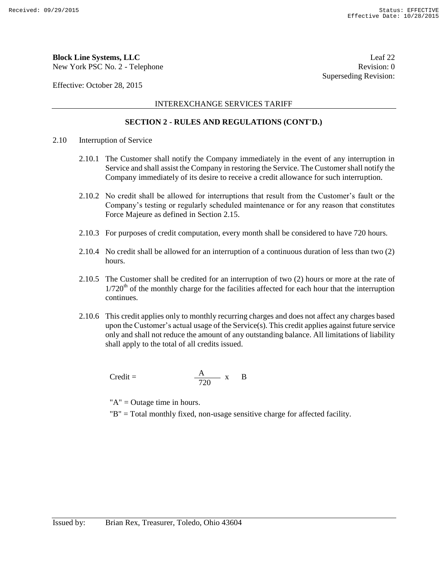New York PSC No. 2 - Telephone Revision: 0

Effective: October 28, 2015

#### INTEREXCHANGE SERVICES TARIFF

#### **SECTION 2 - RULES AND REGULATIONS (CONT'D.)**

- 2.10 Interruption of Service
	- 2.10.1 The Customer shall notify the Company immediately in the event of any interruption in Service and shall assist the Company in restoring the Service. The Customer shall notify the Company immediately of its desire to receive a credit allowance for such interruption.
	- 2.10.2 No credit shall be allowed for interruptions that result from the Customer's fault or the Company's testing or regularly scheduled maintenance or for any reason that constitutes Force Majeure as defined in Section 2.15.
	- 2.10.3 For purposes of credit computation, every month shall be considered to have 720 hours.
	- 2.10.4 No credit shall be allowed for an interruption of a continuous duration of less than two (2) hours.
	- 2.10.5 The Customer shall be credited for an interruption of two (2) hours or more at the rate of  $1/720<sup>th</sup>$  of the monthly charge for the facilities affected for each hour that the interruption continues.
	- 2.10.6 This credit applies only to monthly recurring charges and does not affect any charges based upon the Customer's actual usage of the Service $(s)$ . This credit applies against future service only and shall not reduce the amount of any outstanding balance. All limitations of liability shall apply to the total of all credits issued.

$$
Credit = \frac{A}{720} x \quad B
$$

"A" = Outage time in hours.

"B" = Total monthly fixed, non-usage sensitive charge for affected facility.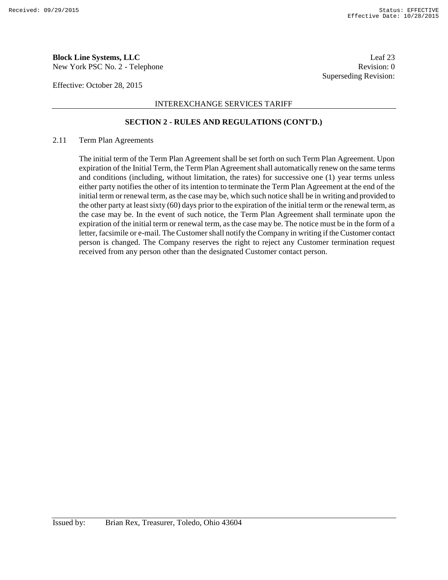New York PSC No. 2 - Telephone Revision: 0

Effective: October 28, 2015

#### INTEREXCHANGE SERVICES TARIFF

#### **SECTION 2 - RULES AND REGULATIONS (CONT'D.)**

#### 2.11 Term Plan Agreements

The initial term of the Term Plan Agreement shall be set forth on such Term Plan Agreement. Upon expiration of the Initial Term, the Term Plan Agreement shall automatically renew on the same terms and conditions (including, without limitation, the rates) for successive one (1) year terms unless either party notifies the other of its intention to terminate the Term Plan Agreement at the end of the initial term or renewal term, as the case may be, which such notice shall be in writing and provided to the other party at least sixty (60) days prior to the expiration of the initial term or the renewal term, as the case may be. In the event of such notice, the Term Plan Agreement shall terminate upon the expiration of the initial term or renewal term, as the case may be. The notice must be in the form of a letter, facsimile or e-mail. The Customer shall notify the Company in writing if the Customer contact person is changed. The Company reserves the right to reject any Customer termination request received from any person other than the designated Customer contact person.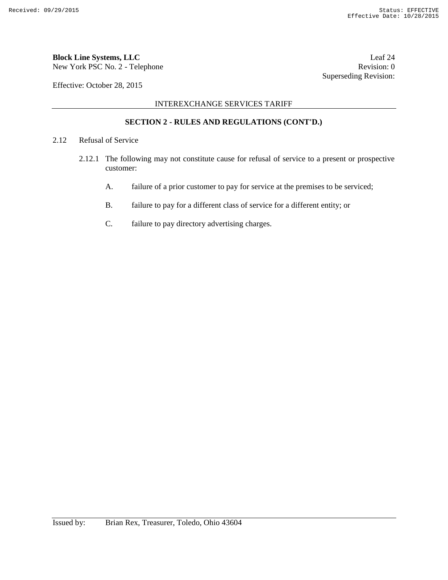New York PSC No. 2 - Telephone Revision: 0

Effective: October 28, 2015

INTEREXCHANGE SERVICES TARIFF

#### **SECTION 2 - RULES AND REGULATIONS (CONT'D.)**

- 2.12 Refusal of Service
	- 2.12.1 The following may not constitute cause for refusal of service to a present or prospective customer:
		- A. failure of a prior customer to pay for service at the premises to be serviced;
		- B. failure to pay for a different class of service for a different entity; or
		- C. failure to pay directory advertising charges.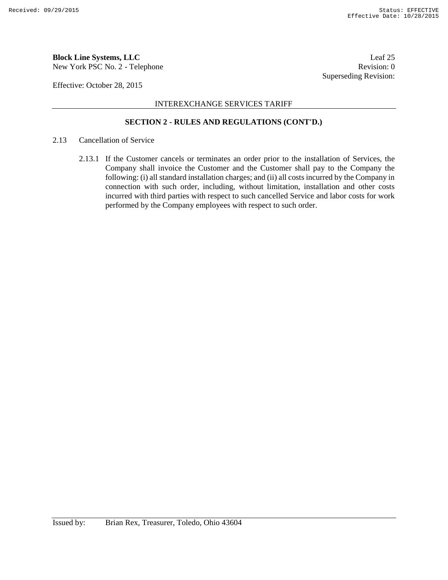New York PSC No. 2 - Telephone Revision: 0

Effective: October 28, 2015

#### INTEREXCHANGE SERVICES TARIFF

#### **SECTION 2 - RULES AND REGULATIONS (CONT'D.)**

#### 2.13 Cancellation of Service

2.13.1 If the Customer cancels or terminates an order prior to the installation of Services, the Company shall invoice the Customer and the Customer shall pay to the Company the following: (i) all standard installation charges; and (ii) all costs incurred by the Company in connection with such order, including, without limitation, installation and other costs incurred with third parties with respect to such cancelled Service and labor costs for work performed by the Company employees with respect to such order.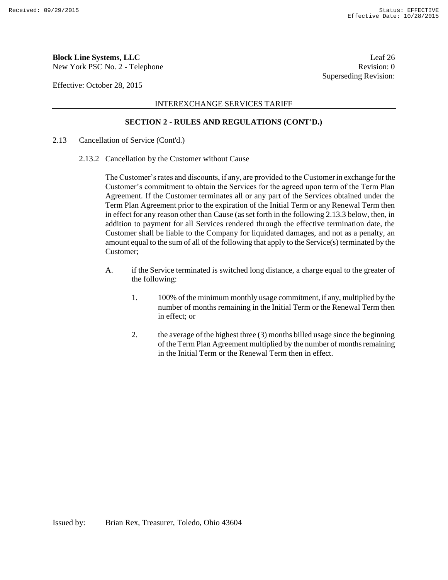New York PSC No. 2 - Telephone Revision: 0

Effective: October 28, 2015

#### INTEREXCHANGE SERVICES TARIFF

#### **SECTION 2 - RULES AND REGULATIONS (CONT'D.)**

- 2.13 Cancellation of Service (Cont'd.)
	- 2.13.2 Cancellation by the Customer without Cause

The Customer's rates and discounts, if any, are provided to the Customer in exchange for the Customer's commitment to obtain the Services for the agreed upon term of the Term Plan Agreement. If the Customer terminates all or any part of the Services obtained under the Term Plan Agreement prior to the expiration of the Initial Term or any Renewal Term then in effect for any reason other than Cause (as set forth in the following 2.13.3 below, then, in addition to payment for all Services rendered through the effective termination date, the Customer shall be liable to the Company for liquidated damages, and not as a penalty, an amount equal to the sum of all of the following that apply to the Service(s) terminated by the Customer;

- A. if the Service terminated is switched long distance, a charge equal to the greater of the following:
	- 1. 100% of the minimum monthly usage commitment, if any, multiplied by the number of months remaining in the Initial Term or the Renewal Term then in effect; or
	- 2. the average of the highest three (3) months billed usage since the beginning of the Term Plan Agreement multiplied by the number of months remaining in the Initial Term or the Renewal Term then in effect.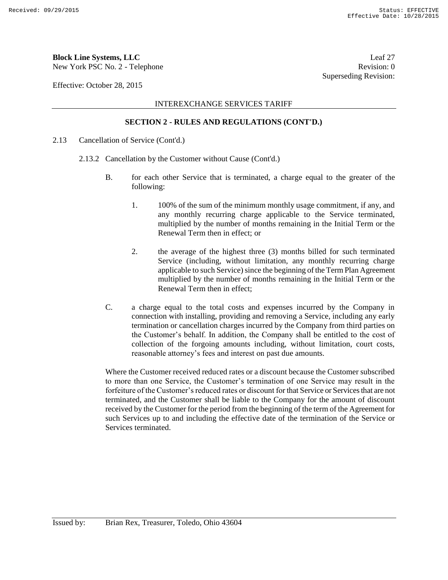## **Block Line Systems, LLC** Leaf 27

New York PSC No. 2 - Telephone Revision: 0

Effective: October 28, 2015

#### INTEREXCHANGE SERVICES TARIFF

#### **SECTION 2 - RULES AND REGULATIONS (CONT'D.)**

- 2.13 Cancellation of Service (Cont'd.)
	- 2.13.2 Cancellation by the Customer without Cause (Cont'd.)
		- B. for each other Service that is terminated, a charge equal to the greater of the following:
			- 1. 100% of the sum of the minimum monthly usage commitment, if any, and any monthly recurring charge applicable to the Service terminated, multiplied by the number of months remaining in the Initial Term or the Renewal Term then in effect; or
			- 2. the average of the highest three (3) months billed for such terminated Service (including, without limitation, any monthly recurring charge applicable to such Service) since the beginning of the Term Plan Agreement multiplied by the number of months remaining in the Initial Term or the Renewal Term then in effect;
		- C. a charge equal to the total costs and expenses incurred by the Company in connection with installing, providing and removing a Service, including any early termination or cancellation charges incurred by the Company from third parties on the Customer's behalf. In addition, the Company shall be entitled to the cost of collection of the forgoing amounts including, without limitation, court costs, reasonable attorney's fees and interest on past due amounts.

Where the Customer received reduced rates or a discount because the Customer subscribed to more than one Service, the Customer's termination of one Service may result in the forfeiture of the Customer's reduced rates or discount for that Service or Services that are not terminated, and the Customer shall be liable to the Company for the amount of discount received by the Customer for the period from the beginning of the term of the Agreement for such Services up to and including the effective date of the termination of the Service or Services terminated.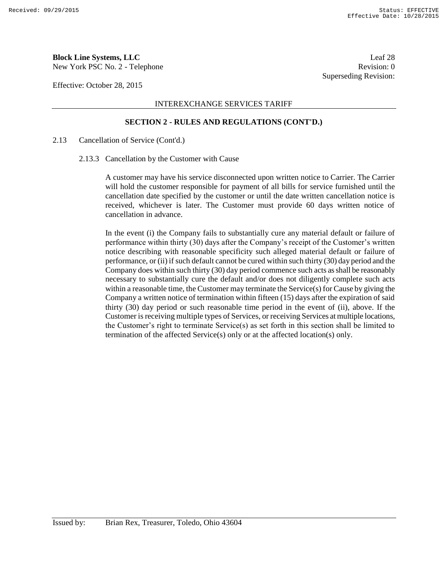New York PSC No. 2 - Telephone Revision: 0

Effective: October 28, 2015

#### INTEREXCHANGE SERVICES TARIFF

#### **SECTION 2 - RULES AND REGULATIONS (CONT'D.)**

#### 2.13 Cancellation of Service (Cont'd.)

2.13.3 Cancellation by the Customer with Cause

A customer may have his service disconnected upon written notice to Carrier. The Carrier will hold the customer responsible for payment of all bills for service furnished until the cancellation date specified by the customer or until the date written cancellation notice is received, whichever is later. The Customer must provide 60 days written notice of cancellation in advance.

In the event (i) the Company fails to substantially cure any material default or failure of performance within thirty (30) days after the Company's receipt of the Customer's written notice describing with reasonable specificity such alleged material default or failure of performance, or (ii) if such default cannot be cured within such thirty (30) day period and the Company does within such thirty (30) day period commence such acts as shall be reasonably necessary to substantially cure the default and/or does not diligently complete such acts within a reasonable time, the Customer may terminate the Service(s) for Cause by giving the Company a written notice of termination within fifteen (15) days after the expiration of said thirty (30) day period or such reasonable time period in the event of (ii), above. If the Customer is receiving multiple types of Services, or receiving Services at multiple locations, the Customer's right to terminate Service(s) as set forth in this section shall be limited to termination of the affected Service(s) only or at the affected location(s) only.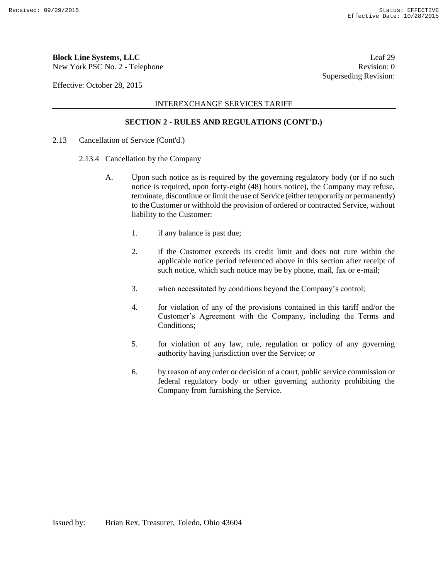New York PSC No. 2 - Telephone Revision: 0

Effective: October 28, 2015

INTEREXCHANGE SERVICES TARIFF

#### **SECTION 2 - RULES AND REGULATIONS (CONT'D.)**

- 2.13 Cancellation of Service (Cont'd.)
	- 2.13.4 Cancellation by the Company
		- A. Upon such notice as is required by the governing regulatory body (or if no such notice is required, upon forty-eight (48) hours notice), the Company may refuse, terminate, discontinue or limit the use of Service (either temporarily or permanently) to the Customer or withhold the provision of ordered or contracted Service, without liability to the Customer:
			- 1. if any balance is past due;
			- 2. if the Customer exceeds its credit limit and does not cure within the applicable notice period referenced above in this section after receipt of such notice, which such notice may be by phone, mail, fax or e-mail;
			- 3. when necessitated by conditions beyond the Company's control;
			- 4. for violation of any of the provisions contained in this tariff and/or the Customer's Agreement with the Company, including the Terms and Conditions;
			- 5. for violation of any law, rule, regulation or policy of any governing authority having jurisdiction over the Service; or
			- 6. by reason of any order or decision of a court, public service commission or federal regulatory body or other governing authority prohibiting the Company from furnishing the Service.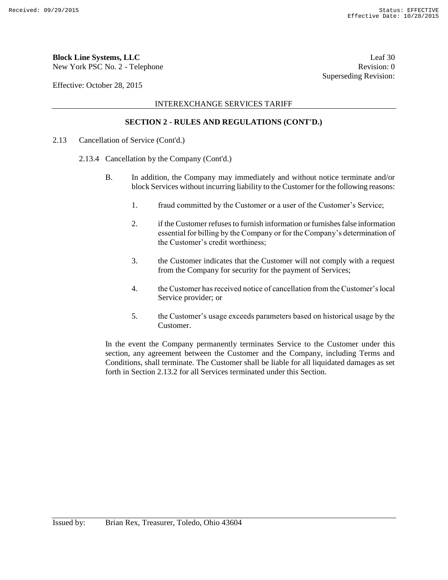## **Block Line Systems, LLC** Leaf 30

New York PSC No. 2 - Telephone Revision: 0

Effective: October 28, 2015

#### INTEREXCHANGE SERVICES TARIFF

#### **SECTION 2 - RULES AND REGULATIONS (CONT'D.)**

- 2.13 Cancellation of Service (Cont'd.)
	- 2.13.4 Cancellation by the Company (Cont'd.)
		- B. In addition, the Company may immediately and without notice terminate and/or block Services without incurring liability to the Customer for the following reasons:
			- 1. fraud committed by the Customer or a user of the Customer's Service;
			- 2. if the Customer refuses to furnish information or furnishes false information essential for billing by the Company or for the Company's determination of the Customer's credit worthiness;
			- 3. the Customer indicates that the Customer will not comply with a request from the Company for security for the payment of Services;
			- 4. the Customer has received notice of cancellation from the Customer's local Service provider; or
			- 5. the Customer's usage exceeds parameters based on historical usage by the Customer.

In the event the Company permanently terminates Service to the Customer under this section, any agreement between the Customer and the Company, including Terms and Conditions, shall terminate. The Customer shall be liable for all liquidated damages as set forth in Section 2.13.2 for all Services terminated under this Section.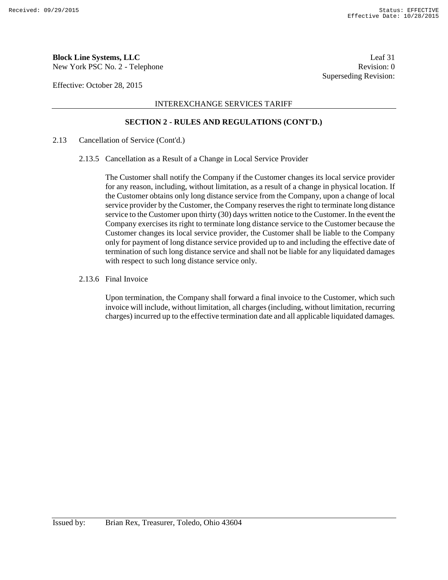New York PSC No. 2 - Telephone Revision: 0

Effective: October 28, 2015

#### INTEREXCHANGE SERVICES TARIFF

#### **SECTION 2 - RULES AND REGULATIONS (CONT'D.)**

#### 2.13 Cancellation of Service (Cont'd.)

2.13.5 Cancellation as a Result of a Change in Local Service Provider

The Customer shall notify the Company if the Customer changes its local service provider for any reason, including, without limitation, as a result of a change in physical location. If the Customer obtains only long distance service from the Company, upon a change of local service provider by the Customer, the Company reserves the right to terminate long distance service to the Customer upon thirty (30) days written notice to the Customer. In the event the Company exercises its right to terminate long distance service to the Customer because the Customer changes its local service provider, the Customer shall be liable to the Company only for payment of long distance service provided up to and including the effective date of termination of such long distance service and shall not be liable for any liquidated damages with respect to such long distance service only.

2.13.6 Final Invoice

Upon termination, the Company shall forward a final invoice to the Customer, which such invoice will include, without limitation, all charges (including, without limitation, recurring charges) incurred up to the effective termination date and all applicable liquidated damages.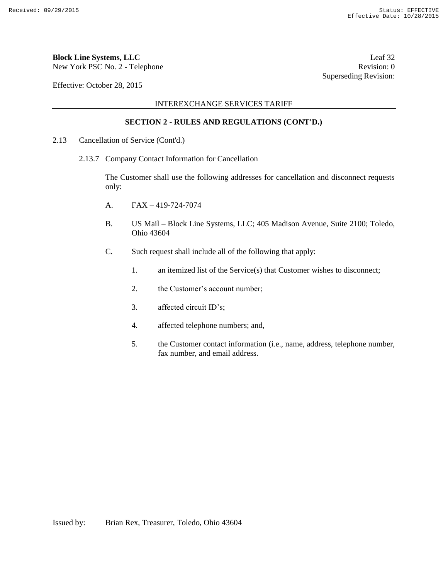## **Block Line Systems, LLC** Leaf 32

New York PSC No. 2 - Telephone Revision: 0

Effective: October 28, 2015

INTEREXCHANGE SERVICES TARIFF

#### **SECTION 2 - RULES AND REGULATIONS (CONT'D.)**

- 2.13 Cancellation of Service (Cont'd.)
	- 2.13.7 Company Contact Information for Cancellation

The Customer shall use the following addresses for cancellation and disconnect requests only:

- A.  $FAX 419-724-7074$
- B. US Mail Block Line Systems, LLC; 405 Madison Avenue, Suite 2100; Toledo, Ohio 43604
- C. Such request shall include all of the following that apply:
	- 1. an itemized list of the Service(s) that Customer wishes to disconnect;
	- 2. the Customer's account number;
	- 3. affected circuit ID's;
	- 4. affected telephone numbers; and,
	- 5. the Customer contact information (i.e., name, address, telephone number, fax number, and email address.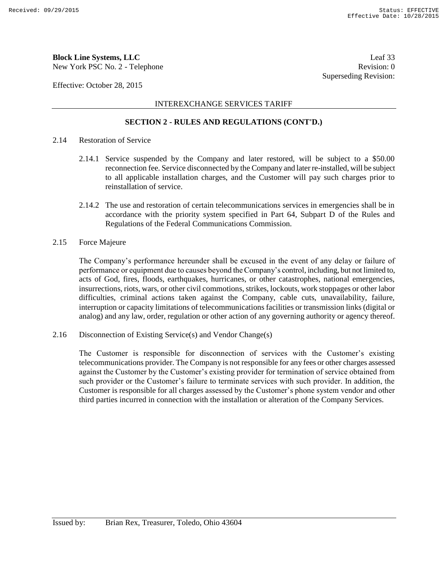New York PSC No. 2 - Telephone Revision: 0

Effective: October 28, 2015

#### INTEREXCHANGE SERVICES TARIFF

#### **SECTION 2 - RULES AND REGULATIONS (CONT'D.)**

- 2.14 Restoration of Service
	- 2.14.1 Service suspended by the Company and later restored, will be subject to a \$50.00 reconnection fee. Service disconnected by the Company and later re-installed, will be subject to all applicable installation charges, and the Customer will pay such charges prior to reinstallation of service.
	- 2.14.2 The use and restoration of certain telecommunications services in emergencies shall be in accordance with the priority system specified in Part 64, Subpart D of the Rules and Regulations of the Federal Communications Commission.
- 2.15 Force Majeure

The Company's performance hereunder shall be excused in the event of any delay or failure of performance or equipment due to causes beyond the Company's control, including, but not limited to, acts of God, fires, floods, earthquakes, hurricanes, or other catastrophes, national emergencies, insurrections, riots, wars, or other civil commotions, strikes, lockouts, work stoppages or other labor difficulties, criminal actions taken against the Company, cable cuts, unavailability, failure, interruption or capacity limitations of telecommunications facilities or transmission links (digital or analog) and any law, order, regulation or other action of any governing authority or agency thereof.

2.16 Disconnection of Existing Service(s) and Vendor Change(s)

The Customer is responsible for disconnection of services with the Customer's existing telecommunications provider. The Company is not responsible for any fees or other charges assessed against the Customer by the Customer's existing provider for termination of service obtained from such provider or the Customer's failure to terminate services with such provider. In addition, the Customer is responsible for all charges assessed by the Customer's phone system vendor and other third parties incurred in connection with the installation or alteration of the Company Services.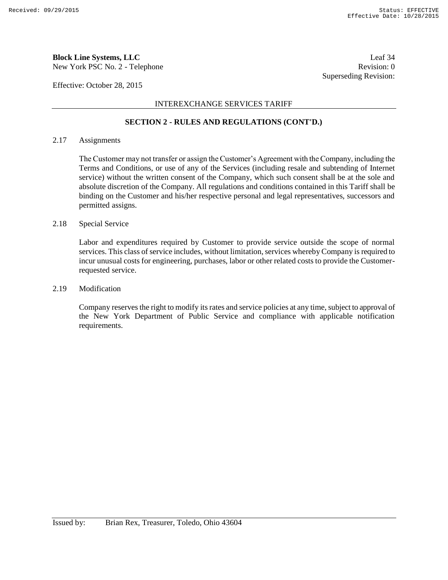New York PSC No. 2 - Telephone Revision: 0

Effective: October 28, 2015

#### INTEREXCHANGE SERVICES TARIFF

#### **SECTION 2 - RULES AND REGULATIONS (CONT'D.)**

#### 2.17 Assignments

The Customer may not transfer or assign the Customer's Agreement with the Company, including the Terms and Conditions, or use of any of the Services (including resale and subtending of Internet service) without the written consent of the Company, which such consent shall be at the sole and absolute discretion of the Company. All regulations and conditions contained in this Tariff shall be binding on the Customer and his/her respective personal and legal representatives, successors and permitted assigns.

#### 2.18 Special Service

Labor and expenditures required by Customer to provide service outside the scope of normal services. This class of service includes, without limitation, services whereby Company is required to incur unusual costs for engineering, purchases, labor or other related costs to provide the Customerrequested service.

#### 2.19 Modification

Company reserves the right to modify its rates and service policies at any time, subject to approval of the New York Department of Public Service and compliance with applicable notification requirements.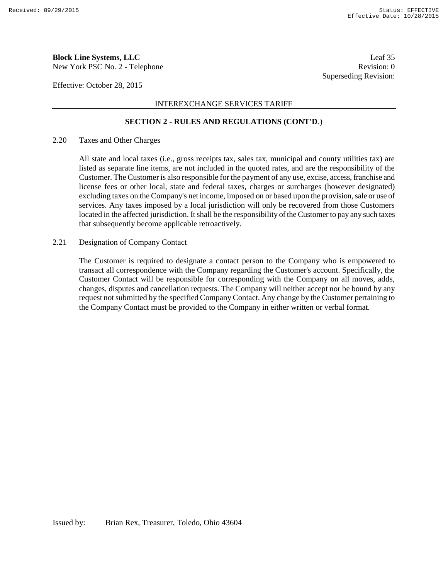New York PSC No. 2 - Telephone Revision: 0

Effective: October 28, 2015

#### INTEREXCHANGE SERVICES TARIFF

#### **SECTION 2 - RULES AND REGULATIONS (CONT'D**.)

#### 2.20 Taxes and Other Charges

All state and local taxes (i.e., gross receipts tax, sales tax, municipal and county utilities tax) are listed as separate line items, are not included in the quoted rates, and are the responsibility of the Customer. The Customer is also responsible for the payment of any use, excise, access, franchise and license fees or other local, state and federal taxes, charges or surcharges (however designated) excluding taxes on the Company's net income, imposed on or based upon the provision, sale or use of services. Any taxes imposed by a local jurisdiction will only be recovered from those Customers located in the affected jurisdiction. It shall be the responsibility of the Customer to pay any such taxes that subsequently become applicable retroactively.

#### 2.21 Designation of Company Contact

The Customer is required to designate a contact person to the Company who is empowered to transact all correspondence with the Company regarding the Customer's account. Specifically, the Customer Contact will be responsible for corresponding with the Company on all moves, adds, changes, disputes and cancellation requests. The Company will neither accept nor be bound by any request not submitted by the specified Company Contact. Any change by the Customer pertaining to the Company Contact must be provided to the Company in either written or verbal format.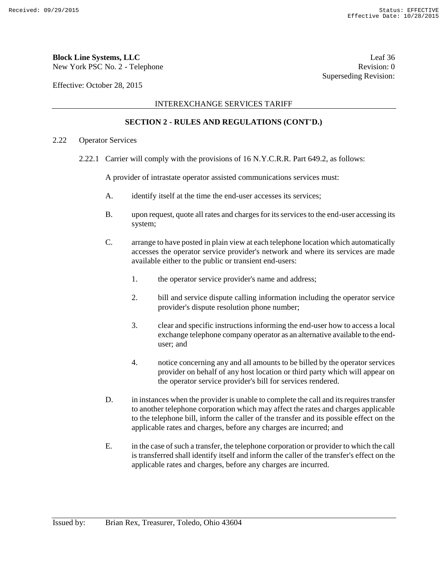New York PSC No. 2 - Telephone Revision: 0

Effective: October 28, 2015

#### INTEREXCHANGE SERVICES TARIFF

#### **SECTION 2 - RULES AND REGULATIONS (CONT'D.)**

#### 2.22 Operator Services

2.22.1 Carrier will comply with the provisions of 16 N.Y.C.R.R. Part 649.2, as follows:

A provider of intrastate operator assisted communications services must:

- A. identify itself at the time the end-user accesses its services;
- B. upon request, quote all rates and charges for its services to the end-user accessing its system;
- C. arrange to have posted in plain view at each telephone location which automatically accesses the operator service provider's network and where its services are made available either to the public or transient end-users:
	- 1. the operator service provider's name and address;
	- 2. bill and service dispute calling information including the operator service provider's dispute resolution phone number;
	- 3. clear and specific instructions informing the end-user how to access a local exchange telephone company operator as an alternative available to the enduser; and
	- 4. notice concerning any and all amounts to be billed by the operator services provider on behalf of any host location or third party which will appear on the operator service provider's bill for services rendered.
- D. in instances when the provider is unable to complete the call and its requires transfer to another telephone corporation which may affect the rates and charges applicable to the telephone bill, inform the caller of the transfer and its possible effect on the applicable rates and charges, before any charges are incurred; and
- E. in the case of such a transfer, the telephone corporation or provider to which the call is transferred shall identify itself and inform the caller of the transfer's effect on the applicable rates and charges, before any charges are incurred.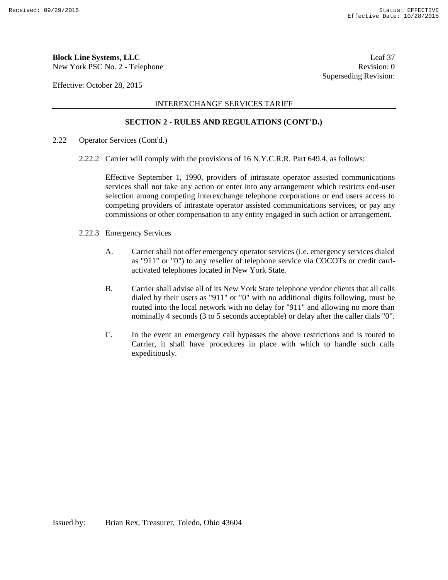New York PSC No. 2 - Telephone Revision: 0

Effective: October 28, 2015

#### INTEREXCHANGE SERVICES TARIFF

#### **SECTION 2 - RULES AND REGULATIONS (CONT'D.)**

- 2.22 Operator Services (Cont'd.)
	- 2.22.2 Carrier will comply with the provisions of 16 N.Y.C.R.R. Part 649.4, as follows:

Effective September 1, 1990, providers of intrastate operator assisted communications services shall not take any action or enter into any arrangement which restricts end-user selection among competing interexchange telephone corporations or end users access to competing providers of intrastate operator assisted communications services, or pay any commissions or other compensation to any entity engaged in such action or arrangement.

- 2.22.3 Emergency Services
	- A. Carrier shall not offer emergency operator services (i.e. emergency services dialed as "911" or "0") to any reseller of telephone service via COCOTs or credit cardactivated telephones located in New York State.
	- B. Carrier shall advise all of its New York State telephone vendor clients that all calls dialed by their users as "911" or "0" with no additional digits following, must be routed into the local network with no delay for "911" and allowing no more than nominally 4 seconds (3 to 5 seconds acceptable) or delay after the caller dials "0".
	- C. In the event an emergency call bypasses the above restrictions and is routed to Carrier, it shall have procedures in place with which to handle such calls expeditiously.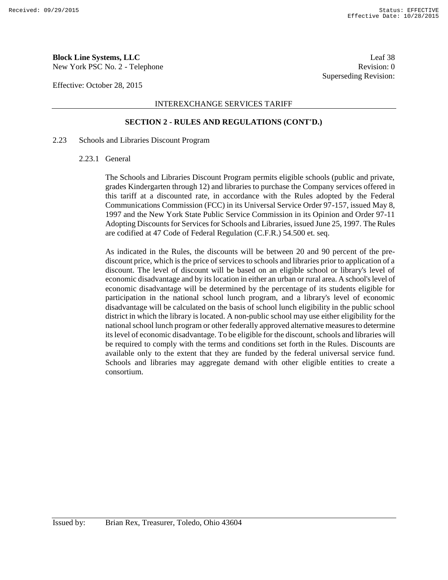New York PSC No. 2 - Telephone Revision: 0

Effective: October 28, 2015

#### INTEREXCHANGE SERVICES TARIFF

#### **SECTION 2 - RULES AND REGULATIONS (CONT'D.)**

#### 2.23 Schools and Libraries Discount Program

#### 2.23.1 General

The Schools and Libraries Discount Program permits eligible schools (public and private, grades Kindergarten through 12) and libraries to purchase the Company services offered in this tariff at a discounted rate, in accordance with the Rules adopted by the Federal Communications Commission (FCC) in its Universal Service Order 97-157, issued May 8, 1997 and the New York State Public Service Commission in its Opinion and Order 97-11 Adopting Discounts for Services for Schools and Libraries, issued June 25, 1997. The Rules are codified at 47 Code of Federal Regulation (C.F.R.) 54.500 et. seq.

As indicated in the Rules, the discounts will be between 20 and 90 percent of the prediscount price, which is the price of services to schools and libraries prior to application of a discount. The level of discount will be based on an eligible school or library's level of economic disadvantage and by its location in either an urban or rural area. A school's level of economic disadvantage will be determined by the percentage of its students eligible for participation in the national school lunch program, and a library's level of economic disadvantage will be calculated on the basis of school lunch eligibility in the public school district in which the library is located. A non-public school may use either eligibility for the national school lunch program or other federally approved alternative measures to determine its level of economic disadvantage. To be eligible for the discount, schools and libraries will be required to comply with the terms and conditions set forth in the Rules. Discounts are available only to the extent that they are funded by the federal universal service fund. Schools and libraries may aggregate demand with other eligible entities to create a consortium.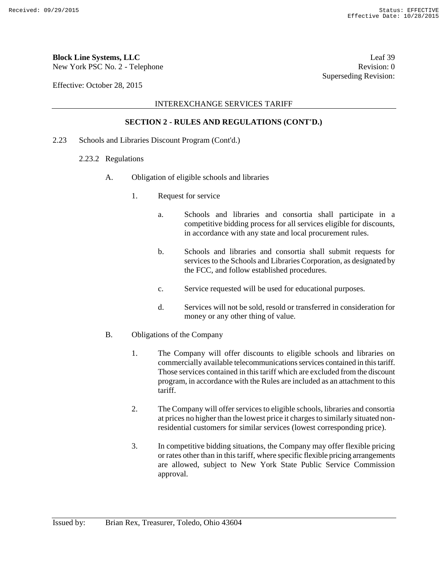New York PSC No. 2 - Telephone Revision: 0

Effective: October 28, 2015

#### INTEREXCHANGE SERVICES TARIFF

#### **SECTION 2 - RULES AND REGULATIONS (CONT'D.)**

- 2.23 Schools and Libraries Discount Program (Cont'd.)
	- 2.23.2 Regulations
		- A. Obligation of eligible schools and libraries
			- 1. Request for service
				- a. Schools and libraries and consortia shall participate in a competitive bidding process for all services eligible for discounts, in accordance with any state and local procurement rules.
				- b. Schools and libraries and consortia shall submit requests for services to the Schools and Libraries Corporation, as designated by the FCC, and follow established procedures.
				- c. Service requested will be used for educational purposes.
				- d. Services will not be sold, resold or transferred in consideration for money or any other thing of value.
		- B. Obligations of the Company
			- 1. The Company will offer discounts to eligible schools and libraries on commercially available telecommunications services contained in this tariff. Those services contained in this tariff which are excluded from the discount program, in accordance with the Rules are included as an attachment to this tariff.
			- 2. The Company will offer services to eligible schools, libraries and consortia at prices no higher than the lowest price it charges to similarly situated nonresidential customers for similar services (lowest corresponding price).
			- 3. In competitive bidding situations, the Company may offer flexible pricing or rates other than in this tariff, where specific flexible pricing arrangements are allowed, subject to New York State Public Service Commission approval.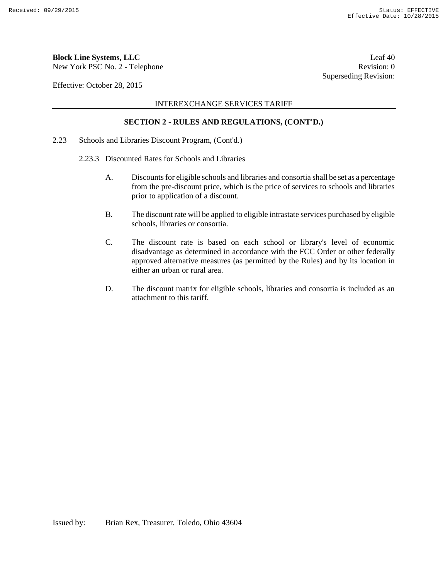New York PSC No. 2 - Telephone Revision: 0

Effective: October 28, 2015

#### INTEREXCHANGE SERVICES TARIFF

#### **SECTION 2 - RULES AND REGULATIONS, (CONT'D.)**

- 2.23 Schools and Libraries Discount Program, (Cont'd.)
	- 2.23.3 Discounted Rates for Schools and Libraries
		- A. Discounts for eligible schools and libraries and consortia shall be set as a percentage from the pre-discount price, which is the price of services to schools and libraries prior to application of a discount.
		- B. The discount rate will be applied to eligible intrastate services purchased by eligible schools, libraries or consortia.
		- C. The discount rate is based on each school or library's level of economic disadvantage as determined in accordance with the FCC Order or other federally approved alternative measures (as permitted by the Rules) and by its location in either an urban or rural area.
		- D. The discount matrix for eligible schools, libraries and consortia is included as an attachment to this tariff.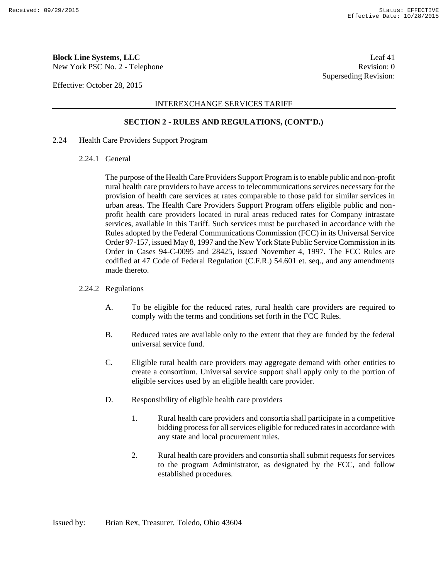New York PSC No. 2 - Telephone Revision: 0

Effective: October 28, 2015

#### INTEREXCHANGE SERVICES TARIFF

#### **SECTION 2 - RULES AND REGULATIONS, (CONT'D.)**

- 2.24 Health Care Providers Support Program
	- 2.24.1 General

The purpose of the Health Care Providers Support Program is to enable public and non-profit rural health care providers to have access to telecommunications services necessary for the provision of health care services at rates comparable to those paid for similar services in urban areas. The Health Care Providers Support Program offers eligible public and nonprofit health care providers located in rural areas reduced rates for Company intrastate services, available in this Tariff. Such services must be purchased in accordance with the Rules adopted by the Federal Communications Commission (FCC) in its Universal Service Order 97-157, issued May 8, 1997 and the New York State Public Service Commission in its Order in Cases 94-C-0095 and 28425, issued November 4, 1997. The FCC Rules are codified at 47 Code of Federal Regulation (C.F.R.) 54.601 et. seq., and any amendments made thereto.

#### 2.24.2 Regulations

- A. To be eligible for the reduced rates, rural health care providers are required to comply with the terms and conditions set forth in the FCC Rules.
- B. Reduced rates are available only to the extent that they are funded by the federal universal service fund.
- C. Eligible rural health care providers may aggregate demand with other entities to create a consortium. Universal service support shall apply only to the portion of eligible services used by an eligible health care provider.
- D. Responsibility of eligible health care providers
	- 1. Rural health care providers and consortia shall participate in a competitive bidding process for all services eligible for reduced rates in accordance with any state and local procurement rules.
	- 2. Rural health care providers and consortia shall submit requests for services to the program Administrator, as designated by the FCC, and follow established procedures.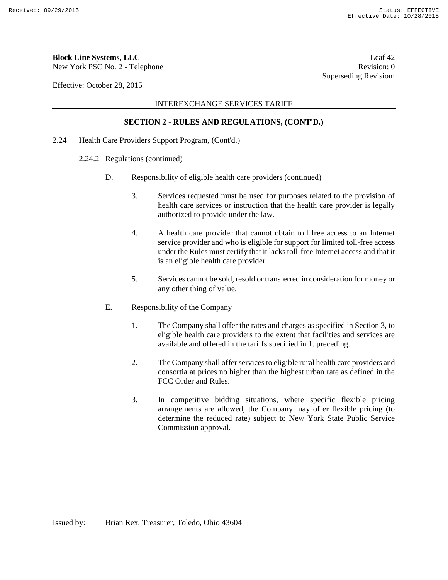New York PSC No. 2 - Telephone Revision: 0

Effective: October 28, 2015

#### INTEREXCHANGE SERVICES TARIFF

#### **SECTION 2 - RULES AND REGULATIONS, (CONT'D.)**

- 2.24 Health Care Providers Support Program, (Cont'd.)
	- 2.24.2 Regulations (continued)
		- D. Responsibility of eligible health care providers (continued)
			- 3. Services requested must be used for purposes related to the provision of health care services or instruction that the health care provider is legally authorized to provide under the law.
			- 4. A health care provider that cannot obtain toll free access to an Internet service provider and who is eligible for support for limited toll-free access under the Rules must certify that it lacks toll-free Internet access and that it is an eligible health care provider.
			- 5. Services cannot be sold, resold or transferred in consideration for money or any other thing of value.
		- E. Responsibility of the Company
			- 1. The Company shall offer the rates and charges as specified in Section 3, to eligible health care providers to the extent that facilities and services are available and offered in the tariffs specified in 1. preceding.
			- 2. The Company shall offer services to eligible rural health care providers and consortia at prices no higher than the highest urban rate as defined in the FCC Order and Rules.
			- 3. In competitive bidding situations, where specific flexible pricing arrangements are allowed, the Company may offer flexible pricing (to determine the reduced rate) subject to New York State Public Service Commission approval.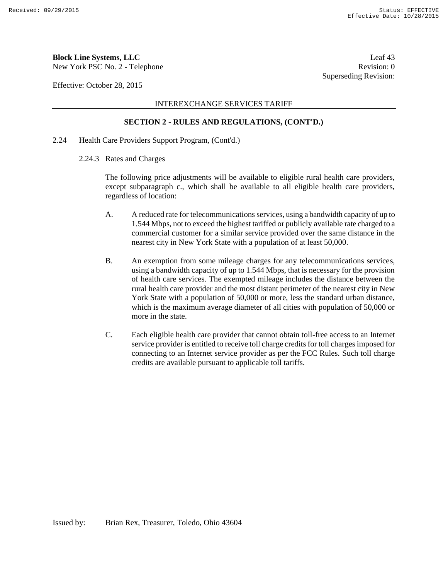New York PSC No. 2 - Telephone Revision: 0

Effective: October 28, 2015

#### INTEREXCHANGE SERVICES TARIFF

#### **SECTION 2 - RULES AND REGULATIONS, (CONT'D.)**

- 2.24 Health Care Providers Support Program, (Cont'd.)
	- 2.24.3 Rates and Charges

The following price adjustments will be available to eligible rural health care providers, except subparagraph c., which shall be available to all eligible health care providers, regardless of location:

- A. A reduced rate for telecommunications services, using a bandwidth capacity of up to 1.544 Mbps, not to exceed the highest tariffed or publicly available rate charged to a commercial customer for a similar service provided over the same distance in the nearest city in New York State with a population of at least 50,000.
- B. An exemption from some mileage charges for any telecommunications services, using a bandwidth capacity of up to 1.544 Mbps, that is necessary for the provision of health care services. The exempted mileage includes the distance between the rural health care provider and the most distant perimeter of the nearest city in New York State with a population of 50,000 or more, less the standard urban distance, which is the maximum average diameter of all cities with population of 50,000 or more in the state.
- C. Each eligible health care provider that cannot obtain toll-free access to an Internet service provider is entitled to receive toll charge credits for toll charges imposed for connecting to an Internet service provider as per the FCC Rules. Such toll charge credits are available pursuant to applicable toll tariffs.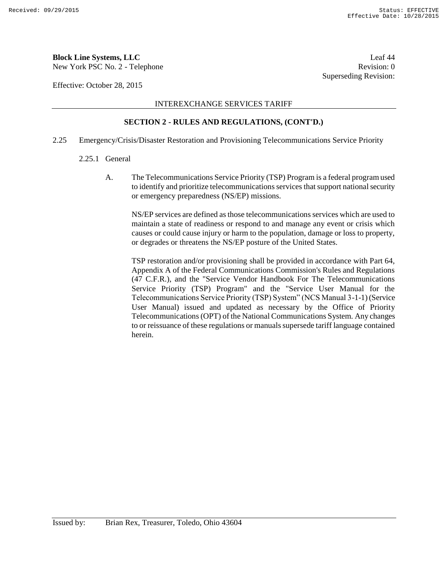**Block Line Systems, LLC** Leaf 44

New York PSC No. 2 - Telephone Revision: 0

Effective: October 28, 2015

INTEREXCHANGE SERVICES TARIFF

#### **SECTION 2 - RULES AND REGULATIONS, (CONT'D.)**

- 2.25 Emergency/Crisis/Disaster Restoration and Provisioning Telecommunications Service Priority
	- 2.25.1 General
		- A. The Telecommunications Service Priority (TSP) Program is a federal program used to identify and prioritize telecommunications services that support national security or emergency preparedness (NS/EP) missions.

NS/EP services are defined as those telecommunications services which are used to maintain a state of readiness or respond to and manage any event or crisis which causes or could cause injury or harm to the population, damage or loss to property, or degrades or threatens the NS/EP posture of the United States.

TSP restoration and/or provisioning shall be provided in accordance with Part 64, Appendix A of the Federal Communications Commission's Rules and Regulations (47 C.F.R.), and the "Service Vendor Handbook For The Telecommunications Service Priority (TSP) Program" and the "Service User Manual for the Telecommunications Service Priority (TSP) System" (NCS Manual 3-1-1) (Service User Manual) issued and updated as necessary by the Office of Priority Telecommunications (OPT) of the National Communications System. Any changes to or reissuance of these regulations or manuals supersede tariff language contained herein.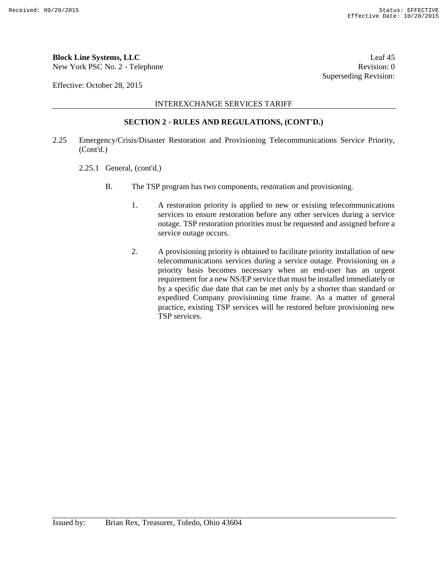## **Block Line Systems, LLC** Leaf 45

New York PSC No. 2 - Telephone Revision: 0

Effective: October 28, 2015

INTEREXCHANGE SERVICES TARIFF

#### **SECTION 2 - RULES AND REGULATIONS, (CONT'D.)**

- 2.25 Emergency/Crisis/Disaster Restoration and Provisioning Telecommunications Service Priority, (Cont'd.)
	- 2.25.1 General, (cont'd.)
		- B. The TSP program has two components, restoration and provisioning.
			- 1. A restoration priority is applied to new or existing telecommunications services to ensure restoration before any other services during a service outage. TSP restoration priorities must be requested and assigned before a service outage occurs.
			- 2. A provisioning priority is obtained to facilitate priority installation of new telecommunications services during a service outage. Provisioning on a priority basis becomes necessary when an end-user has an urgent requirement for a new NS/EP service that must be installed immediately or by a specific due date that can be met only by a shorter than standard or expedited Company provisioning time frame. As a matter of general practice, existing TSP services will be restored before provisioning new TSP services.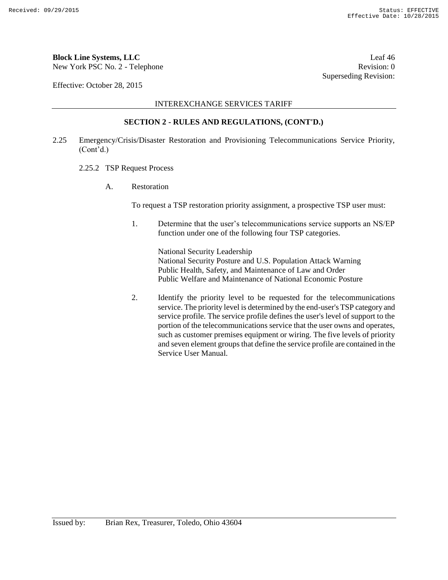## **Block Line Systems, LLC** Leaf 46

New York PSC No. 2 - Telephone Revision: 0

Effective: October 28, 2015

INTEREXCHANGE SERVICES TARIFF

#### **SECTION 2 - RULES AND REGULATIONS, (CONT'D.)**

- 2.25 Emergency/Crisis/Disaster Restoration and Provisioning Telecommunications Service Priority, (Cont'd.)
	- 2.25.2 TSP Request Process
		- A. Restoration

To request a TSP restoration priority assignment, a prospective TSP user must:

1. Determine that the user's telecommunications service supports an NS/EP function under one of the following four TSP categories.

National Security Leadership National Security Posture and U.S. Population Attack Warning Public Health, Safety, and Maintenance of Law and Order Public Welfare and Maintenance of National Economic Posture

2. Identify the priority level to be requested for the telecommunications service. The priority level is determined by the end-user's TSP category and service profile. The service profile defines the user's level of support to the portion of the telecommunications service that the user owns and operates, such as customer premises equipment or wiring. The five levels of priority and seven element groups that define the service profile are contained in the Service User Manual.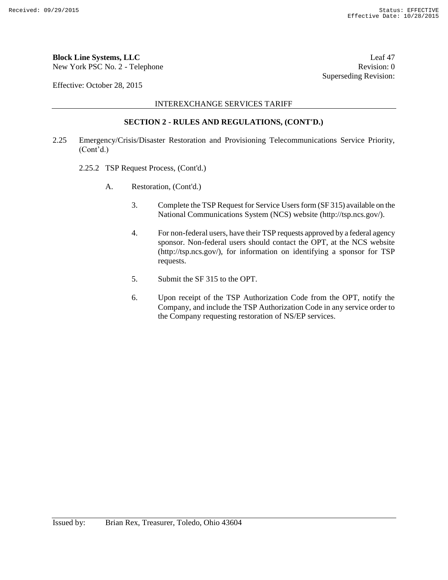## **Block Line Systems, LLC** Leaf 47

New York PSC No. 2 - Telephone Revision: 0

Effective: October 28, 2015

INTEREXCHANGE SERVICES TARIFF

#### **SECTION 2 - RULES AND REGULATIONS, (CONT'D.)**

- 2.25 Emergency/Crisis/Disaster Restoration and Provisioning Telecommunications Service Priority, (Cont'd.)
	- 2.25.2 TSP Request Process, (Cont'd.)
		- A. Restoration, (Cont'd.)
			- 3. Complete the TSP Request for Service Users form (SF 315) available on the National Communications System (NCS) website (http://tsp.ncs.gov/).
			- 4. For non-federal users, have their TSP requests approved by a federal agency sponsor. Non-federal users should contact the OPT, at the NCS website (http://tsp.ncs.gov/), for information on identifying a sponsor for TSP requests.
			- 5. Submit the SF 315 to the OPT.
			- 6. Upon receipt of the TSP Authorization Code from the OPT, notify the Company, and include the TSP Authorization Code in any service order to the Company requesting restoration of NS/EP services.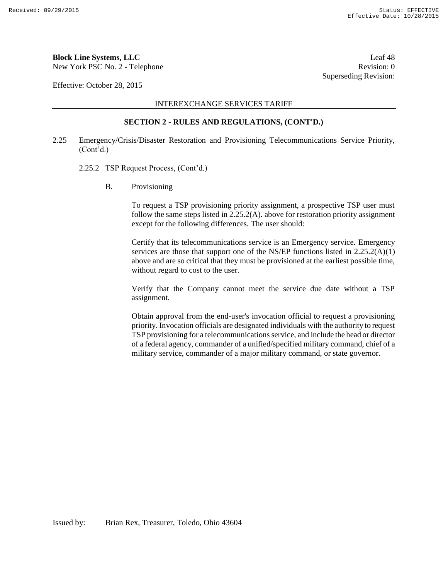## **Block Line Systems, LLC** Leaf 48

New York PSC No. 2 - Telephone Revision: 0

Effective: October 28, 2015

INTEREXCHANGE SERVICES TARIFF

#### **SECTION 2 - RULES AND REGULATIONS, (CONT'D.)**

- 2.25 Emergency/Crisis/Disaster Restoration and Provisioning Telecommunications Service Priority, (Cont'd.)
	- 2.25.2 TSP Request Process, (Cont'd.)
		- B. Provisioning

To request a TSP provisioning priority assignment, a prospective TSP user must follow the same steps listed in 2.25.2(A). above for restoration priority assignment except for the following differences. The user should:

Certify that its telecommunications service is an Emergency service. Emergency services are those that support one of the NS/EP functions listed in 2.25.2(A)(1) above and are so critical that they must be provisioned at the earliest possible time, without regard to cost to the user.

Verify that the Company cannot meet the service due date without a TSP assignment.

Obtain approval from the end-user's invocation official to request a provisioning priority. Invocation officials are designated individuals with the authority to request TSP provisioning for a telecommunications service, and include the head or director of a federal agency, commander of a unified/specified military command, chief of a military service, commander of a major military command, or state governor.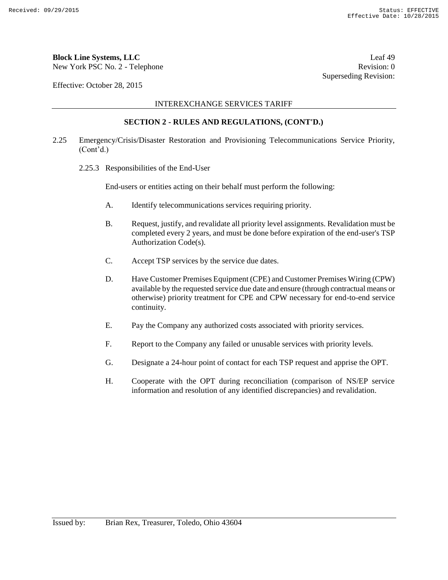## **Block Line Systems, LLC** Leaf 49

New York PSC No. 2 - Telephone Revision: 0

Effective: October 28, 2015

INTEREXCHANGE SERVICES TARIFF

#### **SECTION 2 - RULES AND REGULATIONS, (CONT'D.)**

- 2.25 Emergency/Crisis/Disaster Restoration and Provisioning Telecommunications Service Priority, (Cont'd.)
	- 2.25.3 Responsibilities of the End-User

End-users or entities acting on their behalf must perform the following:

- A. Identify telecommunications services requiring priority.
- B. Request, justify, and revalidate all priority level assignments. Revalidation must be completed every 2 years, and must be done before expiration of the end-user's TSP Authorization Code(s).
- C. Accept TSP services by the service due dates.
- D. Have Customer Premises Equipment (CPE) and Customer Premises Wiring (CPW) available by the requested service due date and ensure (through contractual means or otherwise) priority treatment for CPE and CPW necessary for end-to-end service continuity.
- E. Pay the Company any authorized costs associated with priority services.
- F. Report to the Company any failed or unusable services with priority levels.
- G. Designate a 24-hour point of contact for each TSP request and apprise the OPT.
- H. Cooperate with the OPT during reconciliation (comparison of NS/EP service information and resolution of any identified discrepancies) and revalidation.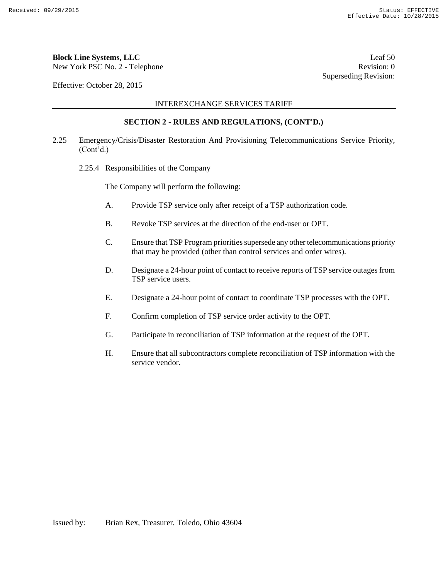## **Block Line Systems, LLC** Leaf 50

New York PSC No. 2 - Telephone Revision: 0

Effective: October 28, 2015

INTEREXCHANGE SERVICES TARIFF

#### **SECTION 2 - RULES AND REGULATIONS, (CONT'D.)**

- 2.25 Emergency/Crisis/Disaster Restoration And Provisioning Telecommunications Service Priority, (Cont'd.)
	- 2.25.4 Responsibilities of the Company

The Company will perform the following:

- A. Provide TSP service only after receipt of a TSP authorization code.
- B. Revoke TSP services at the direction of the end-user or OPT.
- C. Ensure that TSP Program priorities supersede any other telecommunications priority that may be provided (other than control services and order wires).
- D. Designate a 24-hour point of contact to receive reports of TSP service outages from TSP service users.
- E. Designate a 24-hour point of contact to coordinate TSP processes with the OPT.
- F. Confirm completion of TSP service order activity to the OPT.
- G. Participate in reconciliation of TSP information at the request of the OPT.
- H. Ensure that all subcontractors complete reconciliation of TSP information with the service vendor.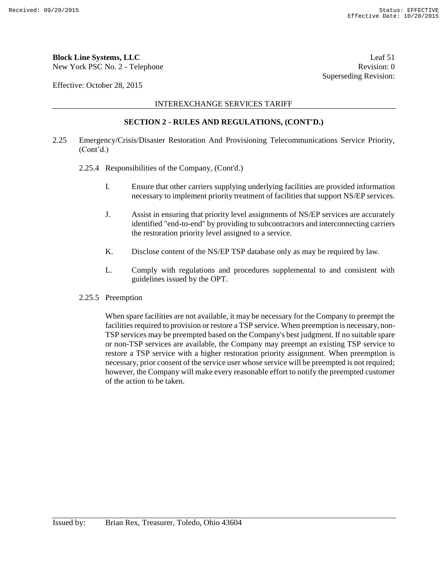## **Block Line Systems, LLC** Leaf 51

New York PSC No. 2 - Telephone Revision: 0

Effective: October 28, 2015

INTEREXCHANGE SERVICES TARIFF

#### **SECTION 2 - RULES AND REGULATIONS, (CONT'D.)**

- 2.25 Emergency/Crisis/Disaster Restoration And Provisioning Telecommunications Service Priority, (Cont'd.)
	- 2.25.4 Responsibilities of the Company, (Cont'd.)
		- I. Ensure that other carriers supplying underlying facilities are provided information necessary to implement priority treatment of facilities that support NS/EP services.
		- J. Assist in ensuring that priority level assignments of NS/EP services are accurately identified "end-to-end" by providing to subcontractors and interconnecting carriers the restoration priority level assigned to a service.
		- K. Disclose content of the NS/EP TSP database only as may be required by law.
		- L. Comply with regulations and procedures supplemental to and consistent with guidelines issued by the OPT.
	- 2.25.5 Preemption

When spare facilities are not available, it may be necessary for the Company to preempt the facilities required to provision or restore a TSP service. When preemption is necessary, non-TSP services may be preempted based on the Company's best judgment. If no suitable spare or non-TSP services are available, the Company may preempt an existing TSP service to restore a TSP service with a higher restoration priority assignment. When preemption is necessary, prior consent of the service user whose service will be preempted is not required; however, the Company will make every reasonable effort to notify the preempted customer of the action to be taken.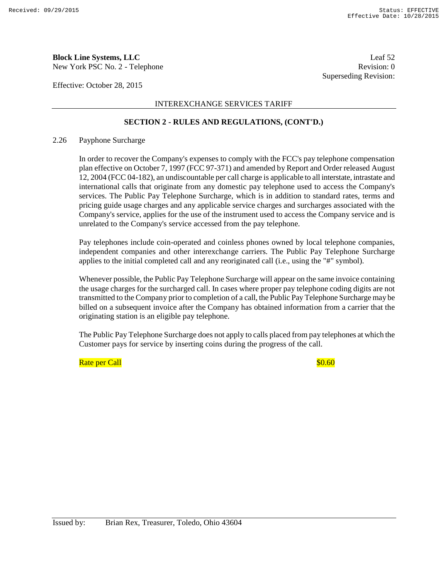New York PSC No. 2 - Telephone Revision: 0

Effective: October 28, 2015

INTEREXCHANGE SERVICES TARIFF

#### **SECTION 2 - RULES AND REGULATIONS, (CONT'D.)**

#### 2.26 Payphone Surcharge

In order to recover the Company's expenses to comply with the FCC's pay telephone compensation plan effective on October 7, 1997 (FCC 97-371) and amended by Report and Order released August 12, 2004 (FCC 04-182), an undiscountable per call charge is applicable to all interstate, intrastate and international calls that originate from any domestic pay telephone used to access the Company's services. The Public Pay Telephone Surcharge, which is in addition to standard rates, terms and pricing guide usage charges and any applicable service charges and surcharges associated with the Company's service, applies for the use of the instrument used to access the Company service and is unrelated to the Company's service accessed from the pay telephone.

Pay telephones include coin-operated and coinless phones owned by local telephone companies, independent companies and other interexchange carriers. The Public Pay Telephone Surcharge applies to the initial completed call and any reoriginated call (i.e., using the "#" symbol).

Whenever possible, the Public Pay Telephone Surcharge will appear on the same invoice containing the usage charges for the surcharged call. In cases where proper pay telephone coding digits are not transmitted to the Company prior to completion of a call, the Public Pay Telephone Surcharge may be billed on a subsequent invoice after the Company has obtained information from a carrier that the originating station is an eligible pay telephone.

The Public Pay Telephone Surcharge does not apply to calls placed from pay telephones at which the Customer pays for service by inserting coins during the progress of the call.

Rate per Call **Rate in the Call** 30.60 and 30.60 and 30.60 and 30.60 and 30.60 and 30.60 and 30.60 and 30.60 and 30.60 and 30.60 and 30.60 and 30.60 and 30.60 and 30.60 and 30.60 and 30.60 and 30.60 and 30.60 and 30.60 and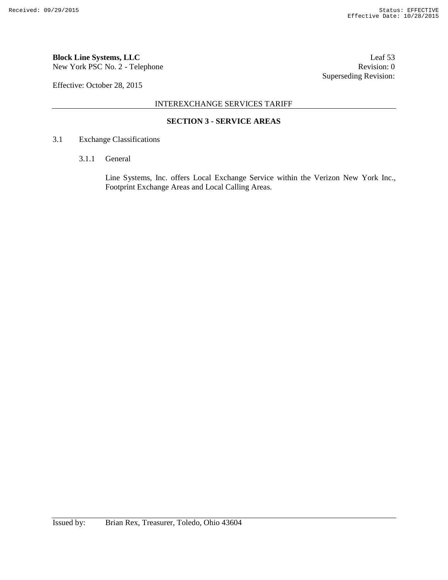New York PSC No. 2 - Telephone Revision: 0

Effective: October 28, 2015

INTEREXCHANGE SERVICES TARIFF

### **SECTION 3 - SERVICE AREAS**

#### 3.1 Exchange Classifications

3.1.1 General

Line Systems, Inc. offers Local Exchange Service within the Verizon New York Inc., Footprint Exchange Areas and Local Calling Areas.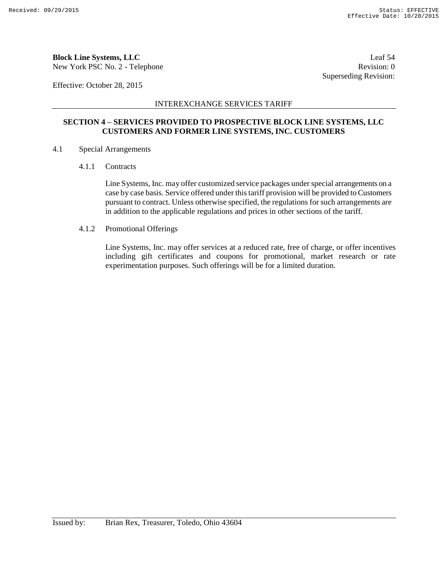New York PSC No. 2 - Telephone Revision: 0

Effective: October 28, 2015

#### INTEREXCHANGE SERVICES TARIFF

### **SECTION 4 – SERVICES PROVIDED TO PROSPECTIVE BLOCK LINE SYSTEMS, LLC CUSTOMERS AND FORMER LINE SYSTEMS, INC. CUSTOMERS**

- 4.1 Special Arrangements
	- 4.1.1 Contracts

Line Systems, Inc. may offer customized service packages under special arrangements on a case by case basis. Service offered under this tariff provision will be provided to Customers pursuant to contract. Unless otherwise specified, the regulations for such arrangements are in addition to the applicable regulations and prices in other sections of the tariff.

4.1.2 Promotional Offerings

Line Systems, Inc. may offer services at a reduced rate, free of charge, or offer incentives including gift certificates and coupons for promotional, market research or rate experimentation purposes. Such offerings will be for a limited duration.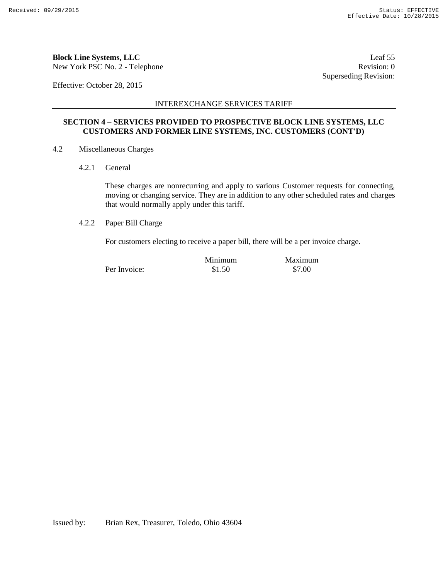New York PSC No. 2 - Telephone Revision: 0

Effective: October 28, 2015

INTEREXCHANGE SERVICES TARIFF

#### **SECTION 4 – SERVICES PROVIDED TO PROSPECTIVE BLOCK LINE SYSTEMS, LLC CUSTOMERS AND FORMER LINE SYSTEMS, INC. CUSTOMERS (CONT'D)**

- 4.2 Miscellaneous Charges
	- 4.2.1 General

These charges are nonrecurring and apply to various Customer requests for connecting, moving or changing service. They are in addition to any other scheduled rates and charges that would normally apply under this tariff.

4.2.2 Paper Bill Charge

For customers electing to receive a paper bill, there will be a per invoice charge.

|              | Minimum | Maximum |
|--------------|---------|---------|
| Per Invoice: | \$1.50  | \$7.00  |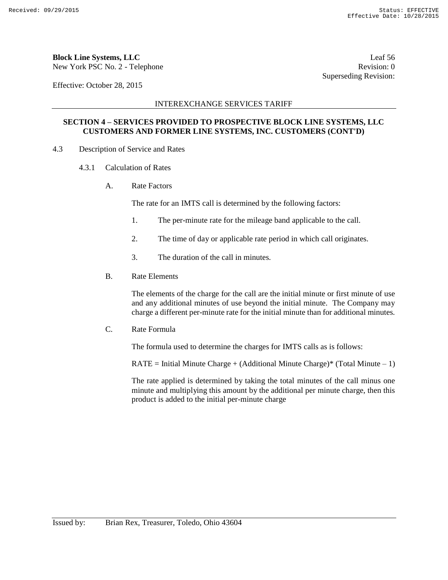New York PSC No. 2 - Telephone Revision: 0

Effective: October 28, 2015

#### INTEREXCHANGE SERVICES TARIFF

### **SECTION 4 – SERVICES PROVIDED TO PROSPECTIVE BLOCK LINE SYSTEMS, LLC CUSTOMERS AND FORMER LINE SYSTEMS, INC. CUSTOMERS (CONT'D)**

- 4.3 Description of Service and Rates
	- 4.3.1 Calculation of Rates
		- A. Rate Factors

The rate for an IMTS call is determined by the following factors:

- 1. The per-minute rate for the mileage band applicable to the call.
- 2. The time of day or applicable rate period in which call originates.
- 3. The duration of the call in minutes.
- B. Rate Elements

The elements of the charge for the call are the initial minute or first minute of use and any additional minutes of use beyond the initial minute. The Company may charge a different per-minute rate for the initial minute than for additional minutes.

C. Rate Formula

The formula used to determine the charges for IMTS calls as is follows:

 $RATE = Initial$  Minute Charge + (Additional Minute Charge)\* (Total Minute  $-1$ )

The rate applied is determined by taking the total minutes of the call minus one minute and multiplying this amount by the additional per minute charge, then this product is added to the initial per-minute charge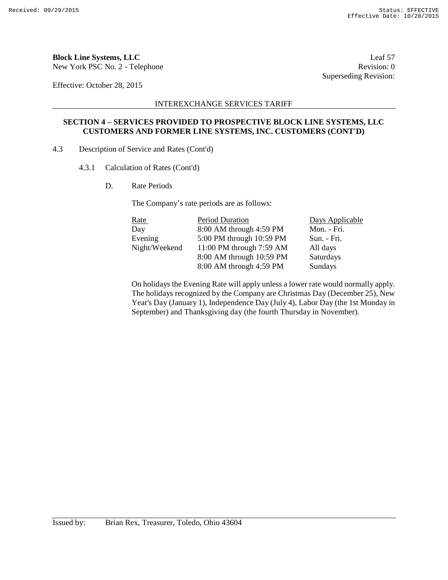New York PSC No. 2 - Telephone Revision: 0

Effective: October 28, 2015

#### INTEREXCHANGE SERVICES TARIFF

#### **SECTION 4 – SERVICES PROVIDED TO PROSPECTIVE BLOCK LINE SYSTEMS, LLC CUSTOMERS AND FORMER LINE SYSTEMS, INC. CUSTOMERS (CONT'D)**

- 4.3 Description of Service and Rates (Cont'd)
	- 4.3.1 Calculation of Rates (Cont'd)
		- D. Rate Periods

The Company's rate periods are as follows:

| <u>Rate</u>   | Period Duration          | Days Applicable |
|---------------|--------------------------|-----------------|
| Day           | 8:00 AM through 4:59 PM  | Mon. - Fri.     |
| Evening       | 5:00 PM through 10:59 PM | Sun. - Fri.     |
| Night/Weekend | 11:00 PM through 7:59 AM | All days        |
|               | 8:00 AM through 10:59 PM | Saturdays       |
|               | 8:00 AM through 4:59 PM  | Sundays         |

On holidays the Evening Rate will apply unless a lower rate would normally apply. The holidays recognized by the Company are Christmas Day (December 25), New Year's Day (January 1), Independence Day (July 4), Labor Day (the 1st Monday in September) and Thanksgiving day (the fourth Thursday in November).